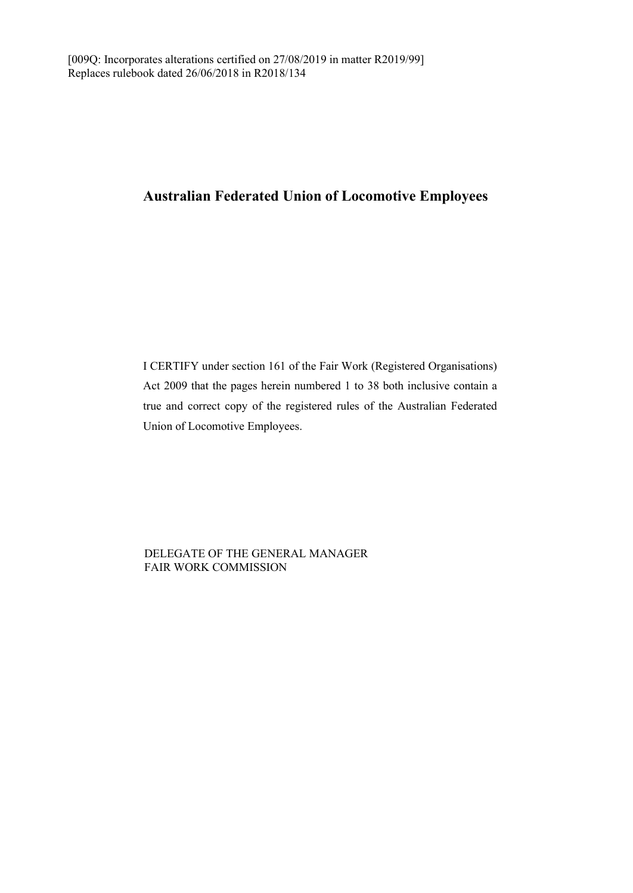## **Australian Federated Union of Locomotive Employees**

I CERTIFY under section 161 of the Fair Work (Registered Organisations) Act 2009 that the pages herein numbered 1 to 38 both inclusive contain a true and correct copy of the registered rules of the Australian Federated Union of Locomotive Employees.

DELEGATE OF THE GENERAL MANAGER FAIR WORK COMMISSION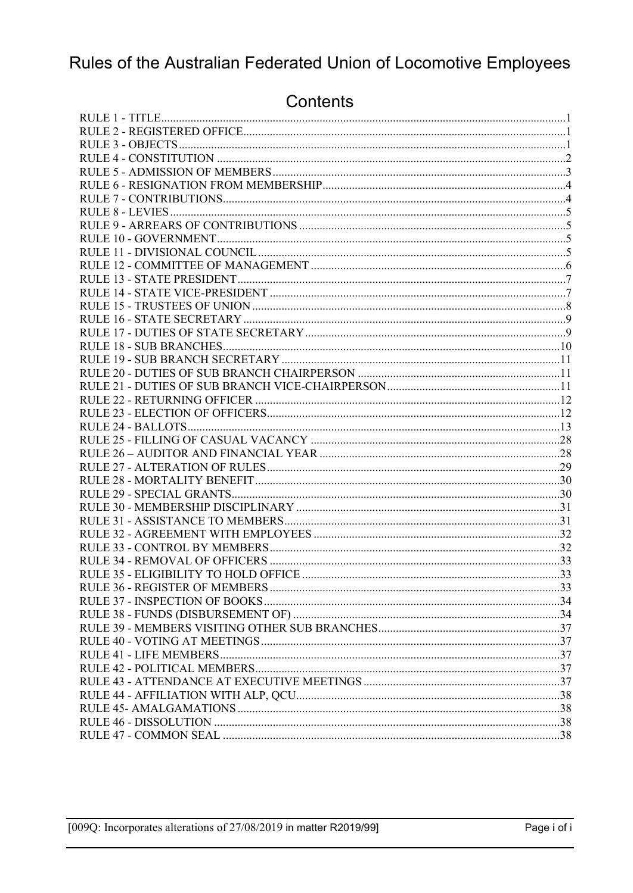# Rules of the Australian Federated Union of Locomotive Employees

## Contents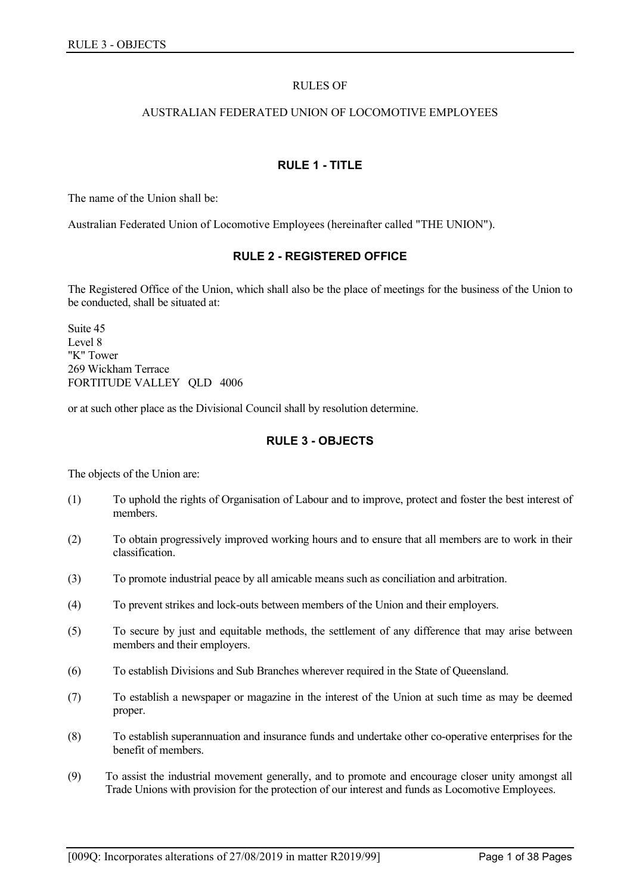### RULES OF

#### AUSTRALIAN FEDERATED UNION OF LOCOMOTIVE EMPLOYEES

## **RULE 1 - TITLE**

<span id="page-2-0"></span>The name of the Union shall be:

<span id="page-2-1"></span>Australian Federated Union of Locomotive Employees (hereinafter called "THE UNION").

## **RULE 2 - REGISTERED OFFICE**

The Registered Office of the Union, which shall also be the place of meetings for the business of the Union to be conducted, shall be situated at:

Suite 45 Level 8 "K" Tower 269 Wickham Terrace FORTITUDE VALLEY QLD 4006

<span id="page-2-2"></span>or at such other place as the Divisional Council shall by resolution determine.

## **RULE 3 - OBJECTS**

The objects of the Union are:

- (1) To uphold the rights of Organisation of Labour and to improve, protect and foster the best interest of members.
- (2) To obtain progressively improved working hours and to ensure that all members are to work in their classification.
- (3) To promote industrial peace by all amicable means such as conciliation and arbitration.
- (4) To prevent strikes and lock-outs between members of the Union and their employers.
- (5) To secure by just and equitable methods, the settlement of any difference that may arise between members and their employers.
- (6) To establish Divisions and Sub Branches wherever required in the State of Queensland.
- (7) To establish a newspaper or magazine in the interest of the Union at such time as may be deemed proper.
- (8) To establish superannuation and insurance funds and undertake other co-operative enterprises for the benefit of members.
- (9) To assist the industrial movement generally, and to promote and encourage closer unity amongst all Trade Unions with provision for the protection of our interest and funds as Locomotive Employees.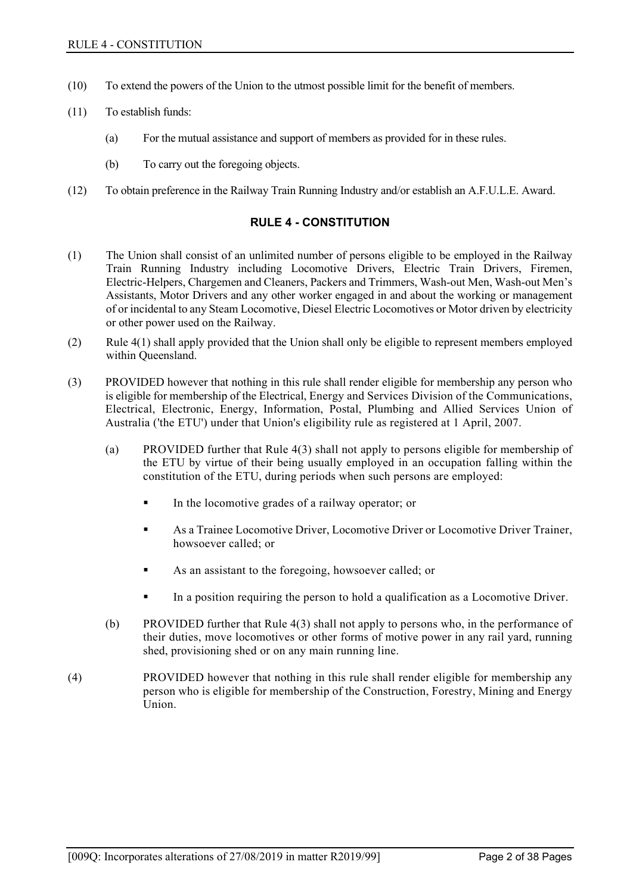- (10) To extend the powers of the Union to the utmost possible limit for the benefit of members.
- (11) To establish funds:
	- (a) For the mutual assistance and support of members as provided for in these rules.
	- (b) To carry out the foregoing objects.
- <span id="page-3-0"></span>(12) To obtain preference in the Railway Train Running Industry and/or establish an A.F.U.L.E. Award.

## **RULE 4 - CONSTITUTION**

- (1) The Union shall consist of an unlimited number of persons eligible to be employed in the Railway Train Running Industry including Locomotive Drivers, Electric Train Drivers, Firemen, Electric-Helpers, Chargemen and Cleaners, Packers and Trimmers, Wash-out Men, Wash-out Men's Assistants, Motor Drivers and any other worker engaged in and about the working or management of or incidental to any Steam Locomotive, Diesel Electric Locomotives or Motor driven by electricity or other power used on the Railway.
- (2) Rule 4(1) shall apply provided that the Union shall only be eligible to represent members employed within Queensland.
- (3) PROVIDED however that nothing in this rule shall render eligible for membership any person who is eligible for membership of the Electrical, Energy and Services Division of the Communications, Electrical, Electronic, Energy, Information, Postal, Plumbing and Allied Services Union of Australia ('the ETU') under that Union's eligibility rule as registered at 1 April, 2007.
	- (a) PROVIDED further that Rule 4(3) shall not apply to persons eligible for membership of the ETU by virtue of their being usually employed in an occupation falling within the constitution of the ETU, during periods when such persons are employed:
		- In the locomotive grades of a railway operator; or
		- As a Trainee Locomotive Driver, Locomotive Driver or Locomotive Driver Trainer, howsoever called; or
		- As an assistant to the foregoing, howsoever called; or
		- In a position requiring the person to hold a qualification as a Locomotive Driver.
	- (b) PROVIDED further that Rule 4(3) shall not apply to persons who, in the performance of their duties, move locomotives or other forms of motive power in any rail yard, running shed, provisioning shed or on any main running line.
- (4) PROVIDED however that nothing in this rule shall render eligible for membership any person who is eligible for membership of the Construction, Forestry, Mining and Energy Union.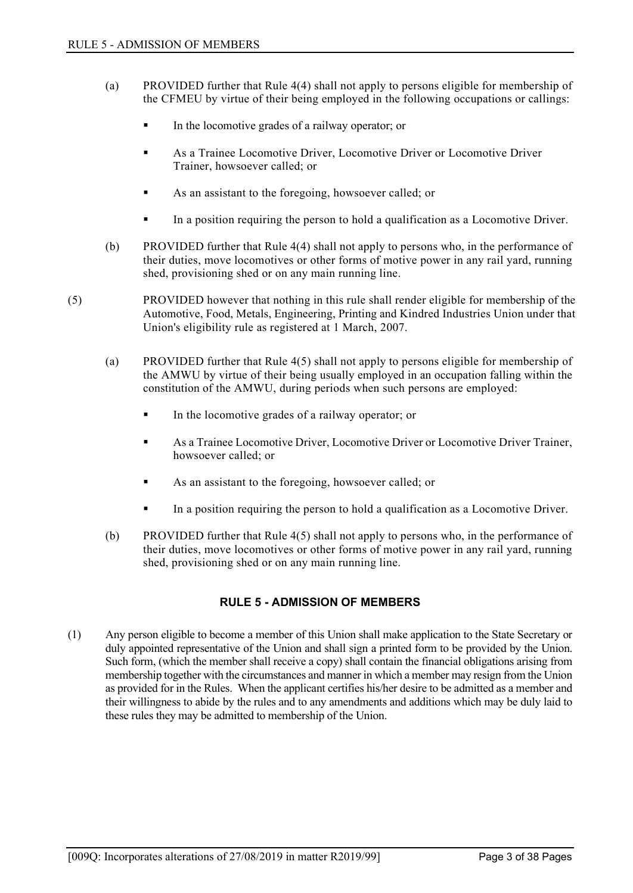- (a) PROVIDED further that Rule 4(4) shall not apply to persons eligible for membership of the CFMEU by virtue of their being employed in the following occupations or callings:
	- In the locomotive grades of a railway operator; or
	- As a Trainee Locomotive Driver, Locomotive Driver or Locomotive Driver Trainer, howsoever called; or
	- As an assistant to the foregoing, howsoever called; or
	- In a position requiring the person to hold a qualification as a Locomotive Driver.
- (b) PROVIDED further that Rule 4(4) shall not apply to persons who, in the performance of their duties, move locomotives or other forms of motive power in any rail yard, running shed, provisioning shed or on any main running line.
- (5) PROVIDED however that nothing in this rule shall render eligible for membership of the Automotive, Food, Metals, Engineering, Printing and Kindred Industries Union under that Union's eligibility rule as registered at 1 March, 2007.
	- (a) PROVIDED further that Rule 4(5) shall not apply to persons eligible for membership of the AMWU by virtue of their being usually employed in an occupation falling within the constitution of the AMWU, during periods when such persons are employed:
		- In the locomotive grades of a railway operator; or
		- As a Trainee Locomotive Driver, Locomotive Driver or Locomotive Driver Trainer, howsoever called; or
		- As an assistant to the foregoing, howsoever called; or
		- In a position requiring the person to hold a qualification as a Locomotive Driver.
	- (b) PROVIDED further that Rule 4(5) shall not apply to persons who, in the performance of their duties, move locomotives or other forms of motive power in any rail yard, running shed, provisioning shed or on any main running line.

## **RULE 5 - ADMISSION OF MEMBERS**

<span id="page-4-0"></span>(1) Any person eligible to become a member of this Union shall make application to the State Secretary or duly appointed representative of the Union and shall sign a printed form to be provided by the Union. Such form, (which the member shall receive a copy) shall contain the financial obligations arising from membership together with the circumstances and manner in which a member may resign from the Union as provided for in the Rules. When the applicant certifies his/her desire to be admitted as a member and their willingness to abide by the rules and to any amendments and additions which may be duly laid to these rules they may be admitted to membership of the Union.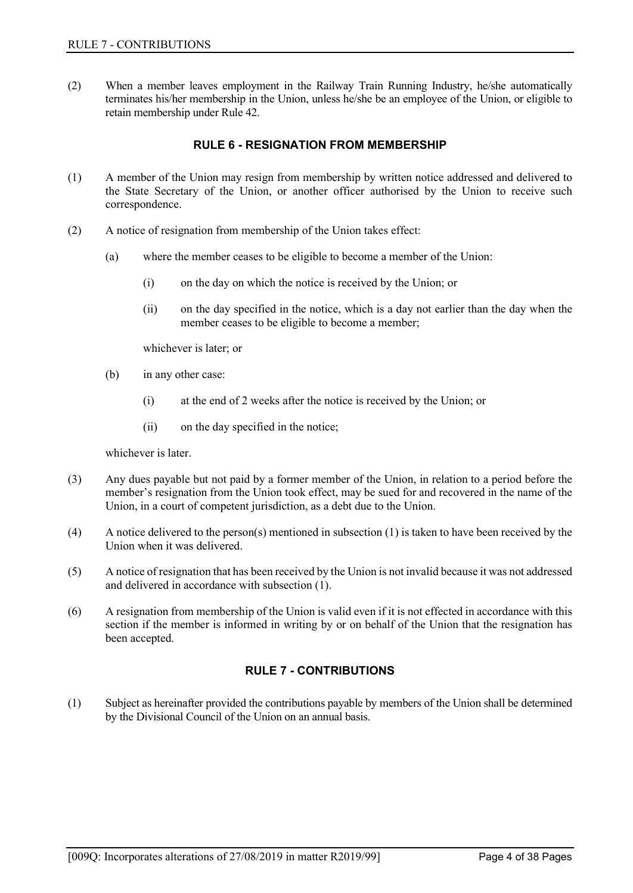<span id="page-5-0"></span>(2) When a member leaves employment in the Railway Train Running Industry, he/she automatically terminates his/her membership in the Union, unless he/she be an employee of the Union, or eligible to retain membership under Rule 42.

## **RULE 6 - RESIGNATION FROM MEMBERSHIP**

- (1) A member of the Union may resign from membership by written notice addressed and delivered to the State Secretary of the Union, or another officer authorised by the Union to receive such correspondence.
- (2) A notice of resignation from membership of the Union takes effect:
	- (a) where the member ceases to be eligible to become a member of the Union:
		- (i) on the day on which the notice is received by the Union; or
		- (ii) on the day specified in the notice, which is a day not earlier than the day when the member ceases to be eligible to become a member;

whichever is later; or

- (b) in any other case:
	- (i) at the end of 2 weeks after the notice is received by the Union; or
	- (ii) on the day specified in the notice;

whichever is later.

- (3) Any dues payable but not paid by a former member of the Union, in relation to a period before the member's resignation from the Union took effect, may be sued for and recovered in the name of the Union, in a court of competent jurisdiction, as a debt due to the Union.
- (4) A notice delivered to the person(s) mentioned in subsection (1) is taken to have been received by the Union when it was delivered.
- (5) A notice of resignation that has been received by the Union is not invalid because it was not addressed and delivered in accordance with subsection (1).
- <span id="page-5-1"></span>(6) A resignation from membership of the Union is valid even if it is not effected in accordance with this section if the member is informed in writing by or on behalf of the Union that the resignation has been accepted.

## **RULE 7 - CONTRIBUTIONS**

(1) Subject as hereinafter provided the contributions payable by members of the Union shall be determined by the Divisional Council of the Union on an annual basis.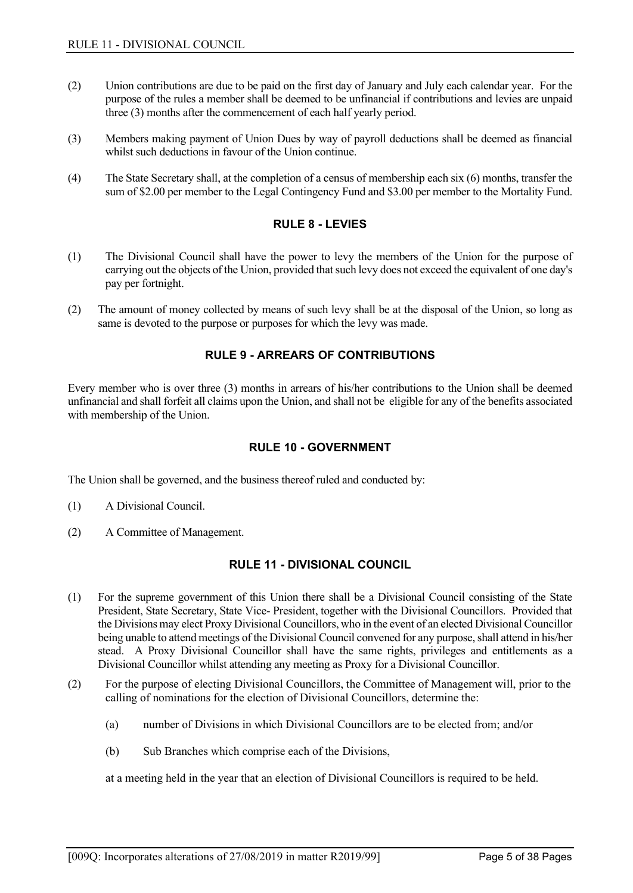- (2) Union contributions are due to be paid on the first day of January and July each calendar year. For the purpose of the rules a member shall be deemed to be unfinancial if contributions and levies are unpaid three (3) months after the commencement of each half yearly period.
- (3) Members making payment of Union Dues by way of payroll deductions shall be deemed as financial whilst such deductions in favour of the Union continue.
- <span id="page-6-0"></span>(4) The State Secretary shall, at the completion of a census of membership each six (6) months, transfer the sum of \$2.00 per member to the Legal Contingency Fund and \$3.00 per member to the Mortality Fund.

## **RULE 8 - LEVIES**

- (1) The Divisional Council shall have the power to levy the members of the Union for the purpose of carrying out the objects of the Union, provided that such levy does not exceed the equivalent of one day's pay per fortnight.
- <span id="page-6-1"></span>(2) The amount of money collected by means of such levy shall be at the disposal of the Union, so long as same is devoted to the purpose or purposes for which the levy was made.

## **RULE 9 - ARREARS OF CONTRIBUTIONS**

<span id="page-6-2"></span>Every member who is over three (3) months in arrears of his/her contributions to the Union shall be deemed unfinancial and shall forfeit all claims upon the Union, and shall not be eligible for any of the benefits associated with membership of the Union.

## **RULE 10 - GOVERNMENT**

The Union shall be governed, and the business thereof ruled and conducted by:

- (1) A Divisional Council.
- <span id="page-6-3"></span>(2) A Committee of Management.

## **RULE 11 - DIVISIONAL COUNCIL**

- (1) For the supreme government of this Union there shall be a Divisional Council consisting of the State President, State Secretary, State Vice- President, together with the Divisional Councillors. Provided that the Divisions may elect Proxy Divisional Councillors, who in the event of an elected Divisional Councillor being unable to attend meetings of the Divisional Council convened for any purpose, shall attend in his/her stead. A Proxy Divisional Councillor shall have the same rights, privileges and entitlements as a Divisional Councillor whilst attending any meeting as Proxy for a Divisional Councillor.
- (2) For the purpose of electing Divisional Councillors, the Committee of Management will, prior to the calling of nominations for the election of Divisional Councillors, determine the:
	- (a) number of Divisions in which Divisional Councillors are to be elected from; and/or
	- (b) Sub Branches which comprise each of the Divisions,

at a meeting held in the year that an election of Divisional Councillors is required to be held.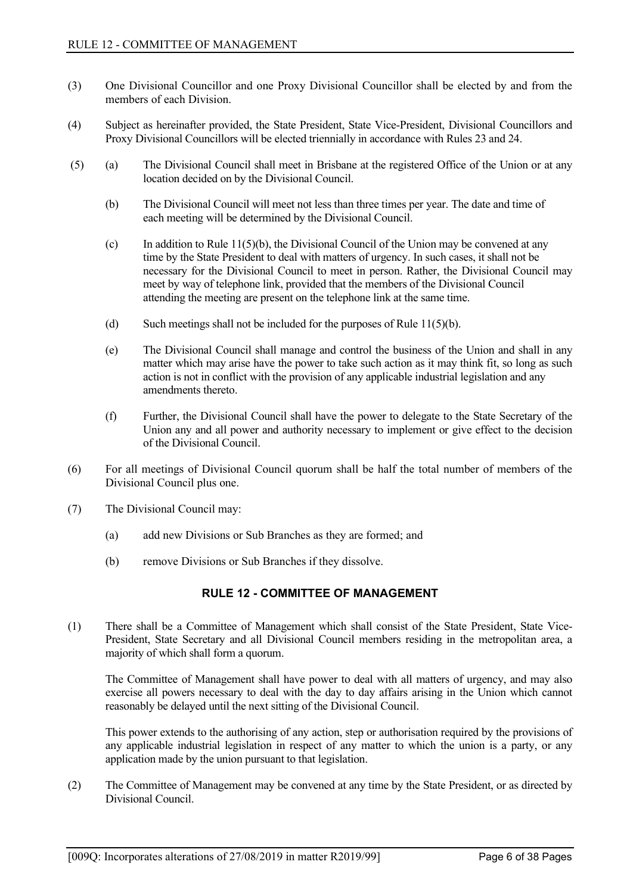- (3) One Divisional Councillor and one Proxy Divisional Councillor shall be elected by and from the members of each Division.
- (4) Subject as hereinafter provided, the State President, State Vice-President, Divisional Councillors and Proxy Divisional Councillors will be elected triennially in accordance with Rules 23 and 24.
- (5) (a) The Divisional Council shall meet in Brisbane at the registered Office of the Union or at any location decided on by the Divisional Council.
	- (b) The Divisional Council will meet not less than three times per year. The date and time of each meeting will be determined by the Divisional Council.
	- (c) In addition to Rule  $11(5)(b)$ , the Divisional Council of the Union may be convened at any time by the State President to deal with matters of urgency. In such cases, it shall not be necessary for the Divisional Council to meet in person. Rather, the Divisional Council may meet by way of telephone link, provided that the members of the Divisional Council attending the meeting are present on the telephone link at the same time.
	- (d) Such meetings shall not be included for the purposes of Rule  $11(5)(b)$ .
	- (e) The Divisional Council shall manage and control the business of the Union and shall in any matter which may arise have the power to take such action as it may think fit, so long as such action is not in conflict with the provision of any applicable industrial legislation and any amendments thereto.
	- (f) Further, the Divisional Council shall have the power to delegate to the State Secretary of the Union any and all power and authority necessary to implement or give effect to the decision of the Divisional Council.
- (6) For all meetings of Divisional Council quorum shall be half the total number of members of the Divisional Council plus one.
- (7) The Divisional Council may:
	- (a) add new Divisions or Sub Branches as they are formed; and
	- (b) remove Divisions or Sub Branches if they dissolve.

## **RULE 12 - COMMITTEE OF MANAGEMENT**

<span id="page-7-0"></span>(1) There shall be a Committee of Management which shall consist of the State President, State Vice-President, State Secretary and all Divisional Council members residing in the metropolitan area, a majority of which shall form a quorum.

The Committee of Management shall have power to deal with all matters of urgency, and may also exercise all powers necessary to deal with the day to day affairs arising in the Union which cannot reasonably be delayed until the next sitting of the Divisional Council.

This power extends to the authorising of any action, step or authorisation required by the provisions of any applicable industrial legislation in respect of any matter to which the union is a party, or any application made by the union pursuant to that legislation.

(2) The Committee of Management may be convened at any time by the State President, or as directed by Divisional Council.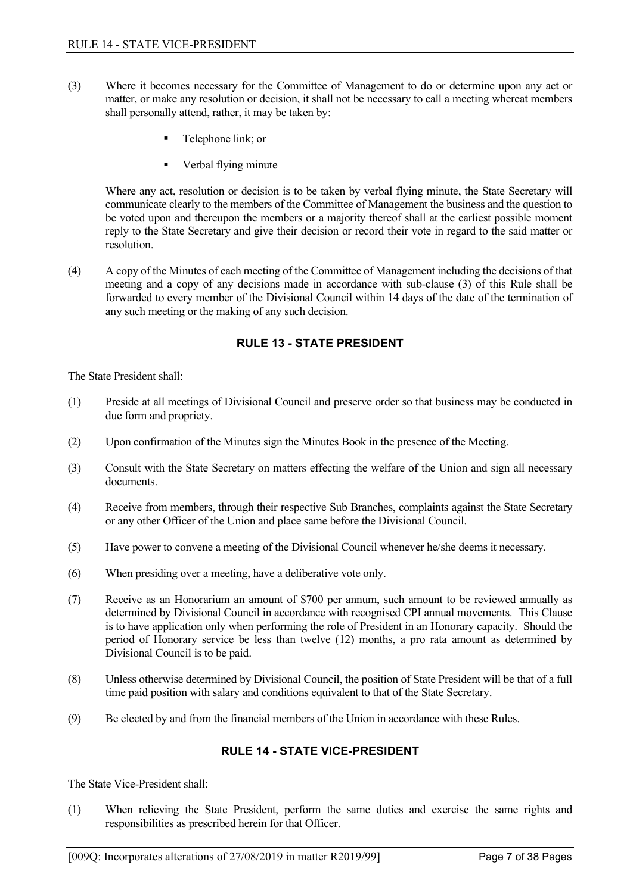- (3) Where it becomes necessary for the Committee of Management to do or determine upon any act or matter, or make any resolution or decision, it shall not be necessary to call a meeting whereat members shall personally attend, rather, it may be taken by:
	- Telephone link; or
	- Verbal flying minute

Where any act, resolution or decision is to be taken by verbal flying minute, the State Secretary will communicate clearly to the members of the Committee of Management the business and the question to be voted upon and thereupon the members or a majority thereof shall at the earliest possible moment reply to the State Secretary and give their decision or record their vote in regard to the said matter or resolution.

(4) A copy of the Minutes of each meeting of the Committee of Management including the decisions of that meeting and a copy of any decisions made in accordance with sub-clause (3) of this Rule shall be forwarded to every member of the Divisional Council within 14 days of the date of the termination of any such meeting or the making of any such decision.

## **RULE 13 - STATE PRESIDENT**

<span id="page-8-0"></span>The State President shall:

- (1) Preside at all meetings of Divisional Council and preserve order so that business may be conducted in due form and propriety.
- (2) Upon confirmation of the Minutes sign the Minutes Book in the presence of the Meeting.
- (3) Consult with the State Secretary on matters effecting the welfare of the Union and sign all necessary documents.
- (4) Receive from members, through their respective Sub Branches, complaints against the State Secretary or any other Officer of the Union and place same before the Divisional Council.
- (5) Have power to convene a meeting of the Divisional Council whenever he/she deems it necessary.
- (6) When presiding over a meeting, have a deliberative vote only.
- (7) Receive as an Honorarium an amount of \$700 per annum, such amount to be reviewed annually as determined by Divisional Council in accordance with recognised CPI annual movements. This Clause is to have application only when performing the role of President in an Honorary capacity. Should the period of Honorary service be less than twelve (12) months, a pro rata amount as determined by Divisional Council is to be paid.
- (8) Unless otherwise determined by Divisional Council, the position of State President will be that of a full time paid position with salary and conditions equivalent to that of the State Secretary.
- <span id="page-8-1"></span>(9) Be elected by and from the financial members of the Union in accordance with these Rules.

## **RULE 14 - STATE VICE-PRESIDENT**

The State Vice-President shall:

(1) When relieving the State President, perform the same duties and exercise the same rights and responsibilities as prescribed herein for that Officer.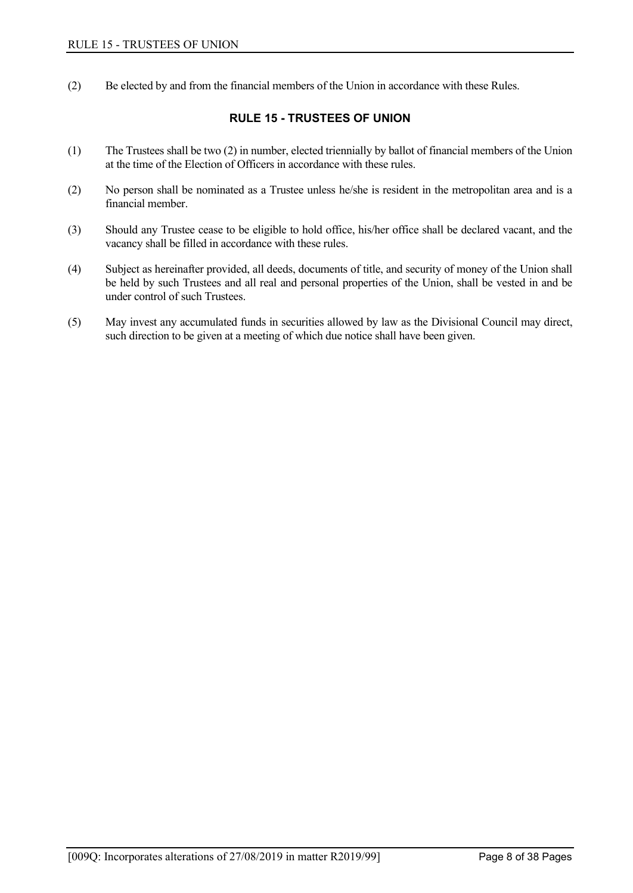<span id="page-9-0"></span>(2) Be elected by and from the financial members of the Union in accordance with these Rules.

## **RULE 15 - TRUSTEES OF UNION**

- (1) The Trustees shall be two (2) in number, elected triennially by ballot of financial members of the Union at the time of the Election of Officers in accordance with these rules.
- (2) No person shall be nominated as a Trustee unless he/she is resident in the metropolitan area and is a financial member.
- (3) Should any Trustee cease to be eligible to hold office, his/her office shall be declared vacant, and the vacancy shall be filled in accordance with these rules.
- (4) Subject as hereinafter provided, all deeds, documents of title, and security of money of the Union shall be held by such Trustees and all real and personal properties of the Union, shall be vested in and be under control of such Trustees.
- (5) May invest any accumulated funds in securities allowed by law as the Divisional Council may direct, such direction to be given at a meeting of which due notice shall have been given.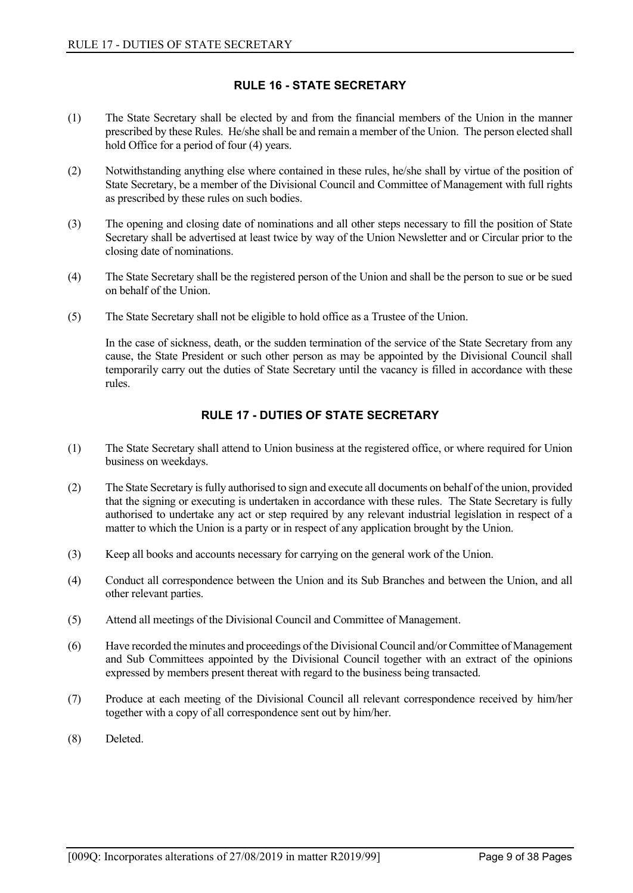## **RULE 16 - STATE SECRETARY**

- <span id="page-10-0"></span>(1) The State Secretary shall be elected by and from the financial members of the Union in the manner prescribed by these Rules. He/she shall be and remain a member of the Union. The person elected shall hold Office for a period of four (4) years.
- (2) Notwithstanding anything else where contained in these rules, he/she shall by virtue of the position of State Secretary, be a member of the Divisional Council and Committee of Management with full rights as prescribed by these rules on such bodies.
- (3) The opening and closing date of nominations and all other steps necessary to fill the position of State Secretary shall be advertised at least twice by way of the Union Newsletter and or Circular prior to the closing date of nominations.
- (4) The State Secretary shall be the registered person of the Union and shall be the person to sue or be sued on behalf of the Union.
- (5) The State Secretary shall not be eligible to hold office as a Trustee of the Union.

In the case of sickness, death, or the sudden termination of the service of the State Secretary from any cause, the State President or such other person as may be appointed by the Divisional Council shall temporarily carry out the duties of State Secretary until the vacancy is filled in accordance with these rules.

## **RULE 17 - DUTIES OF STATE SECRETARY**

- <span id="page-10-1"></span>(1) The State Secretary shall attend to Union business at the registered office, or where required for Union business on weekdays.
- (2) The State Secretary is fully authorised to sign and execute all documents on behalf of the union, provided that the signing or executing is undertaken in accordance with these rules. The State Secretary is fully authorised to undertake any act or step required by any relevant industrial legislation in respect of a matter to which the Union is a party or in respect of any application brought by the Union.
- (3) Keep all books and accounts necessary for carrying on the general work of the Union.
- (4) Conduct all correspondence between the Union and its Sub Branches and between the Union, and all other relevant parties.
- (5) Attend all meetings of the Divisional Council and Committee of Management.
- (6) Have recorded the minutes and proceedings of the Divisional Council and/or Committee of Management and Sub Committees appointed by the Divisional Council together with an extract of the opinions expressed by members present thereat with regard to the business being transacted.
- (7) Produce at each meeting of the Divisional Council all relevant correspondence received by him/her together with a copy of all correspondence sent out by him/her.
- (8) Deleted.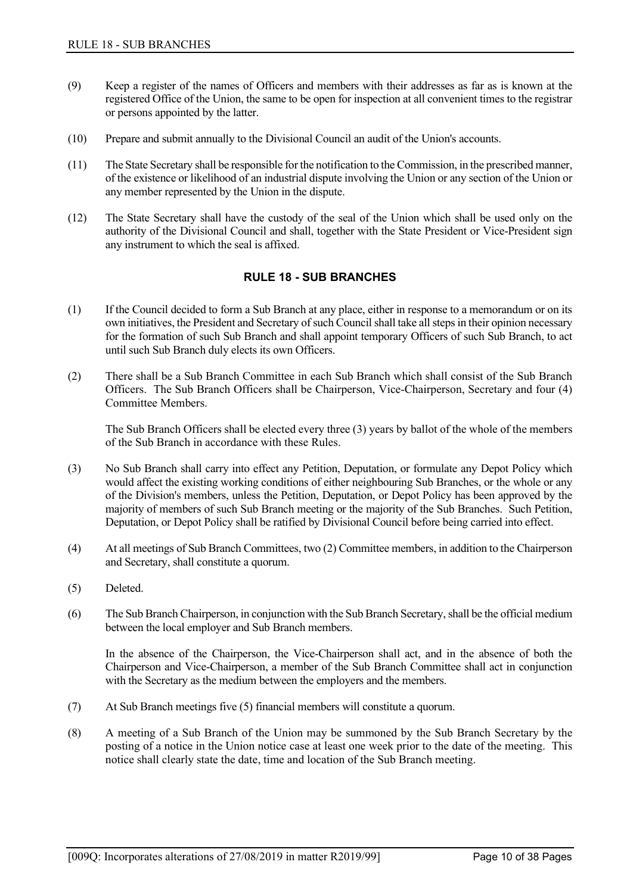- (9) Keep a register of the names of Officers and members with their addresses as far as is known at the registered Office of the Union, the same to be open for inspection at all convenient times to the registrar or persons appointed by the latter.
- (10) Prepare and submit annually to the Divisional Council an audit of the Union's accounts.
- (11) The State Secretary shall be responsible for the notification to the Commission, in the prescribed manner, of the existence or likelihood of an industrial dispute involving the Union or any section of the Union or any member represented by the Union in the dispute.
- <span id="page-11-0"></span>(12) The State Secretary shall have the custody of the seal of the Union which shall be used only on the authority of the Divisional Council and shall, together with the State President or Vice-President sign any instrument to which the seal is affixed.

## **RULE 18 - SUB BRANCHES**

- (1) If the Council decided to form a Sub Branch at any place, either in response to a memorandum or on its own initiatives, the President and Secretary of such Council shall take all steps in their opinion necessary for the formation of such Sub Branch and shall appoint temporary Officers of such Sub Branch, to act until such Sub Branch duly elects its own Officers.
- (2) There shall be a Sub Branch Committee in each Sub Branch which shall consist of the Sub Branch Officers. The Sub Branch Officers shall be Chairperson, Vice-Chairperson, Secretary and four (4) Committee Members.

The Sub Branch Officers shall be elected every three (3) years by ballot of the whole of the members of the Sub Branch in accordance with these Rules.

- (3) No Sub Branch shall carry into effect any Petition, Deputation, or formulate any Depot Policy which would affect the existing working conditions of either neighbouring Sub Branches, or the whole or any of the Division's members, unless the Petition, Deputation, or Depot Policy has been approved by the majority of members of such Sub Branch meeting or the majority of the Sub Branches. Such Petition, Deputation, or Depot Policy shall be ratified by Divisional Council before being carried into effect.
- (4) At all meetings of Sub Branch Committees, two (2) Committee members, in addition to the Chairperson and Secretary, shall constitute a quorum.
- (5) Deleted.
- (6) The Sub Branch Chairperson, in conjunction with the Sub Branch Secretary, shall be the official medium between the local employer and Sub Branch members.

In the absence of the Chairperson, the Vice-Chairperson shall act, and in the absence of both the Chairperson and Vice-Chairperson, a member of the Sub Branch Committee shall act in conjunction with the Secretary as the medium between the employers and the members.

- (7) At Sub Branch meetings five (5) financial members will constitute a quorum.
- (8) A meeting of a Sub Branch of the Union may be summoned by the Sub Branch Secretary by the posting of a notice in the Union notice case at least one week prior to the date of the meeting. This notice shall clearly state the date, time and location of the Sub Branch meeting.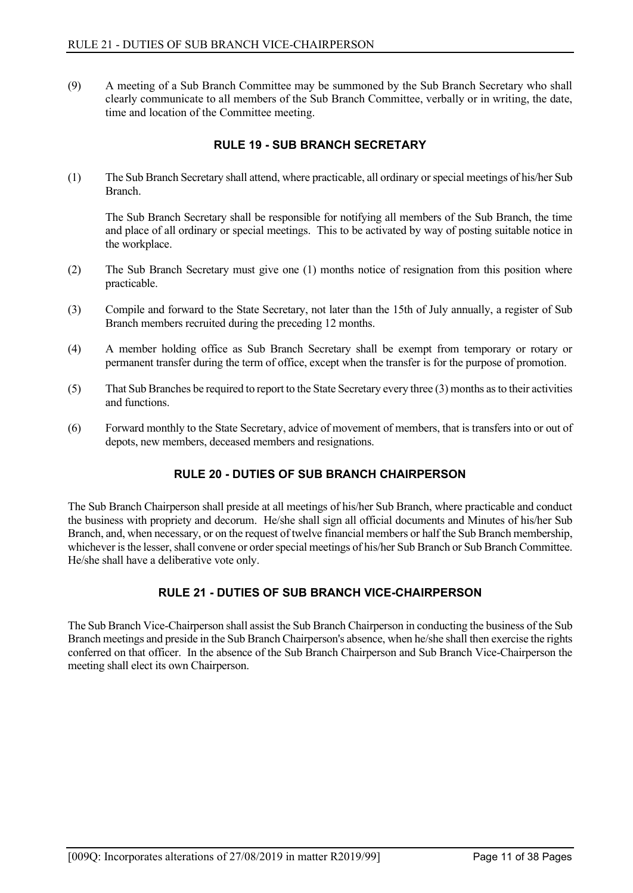(9) A meeting of a Sub Branch Committee may be summoned by the Sub Branch Secretary who shall clearly communicate to all members of the Sub Branch Committee, verbally or in writing, the date, time and location of the Committee meeting.

## **RULE 19 - SUB BRANCH SECRETARY**

<span id="page-12-0"></span>(1) The Sub Branch Secretary shall attend, where practicable, all ordinary or special meetings of his/her Sub Branch.

The Sub Branch Secretary shall be responsible for notifying all members of the Sub Branch, the time and place of all ordinary or special meetings. This to be activated by way of posting suitable notice in the workplace.

- (2) The Sub Branch Secretary must give one (1) months notice of resignation from this position where practicable.
- (3) Compile and forward to the State Secretary, not later than the 15th of July annually, a register of Sub Branch members recruited during the preceding 12 months.
- (4) A member holding office as Sub Branch Secretary shall be exempt from temporary or rotary or permanent transfer during the term of office, except when the transfer is for the purpose of promotion.
- (5) That Sub Branches be required to report to the State Secretary every three (3) months as to their activities and functions.
- <span id="page-12-1"></span>(6) Forward monthly to the State Secretary, advice of movement of members, that is transfers into or out of depots, new members, deceased members and resignations.

## **RULE 20 - DUTIES OF SUB BRANCH CHAIRPERSON**

The Sub Branch Chairperson shall preside at all meetings of his/her Sub Branch, where practicable and conduct the business with propriety and decorum. He/she shall sign all official documents and Minutes of his/her Sub Branch, and, when necessary, or on the request of twelve financial members or half the Sub Branch membership, whichever is the lesser, shall convene or order special meetings of his/her Sub Branch or Sub Branch Committee. He/she shall have a deliberative vote only.

## **RULE 21 - DUTIES OF SUB BRANCH VICE-CHAIRPERSON**

<span id="page-12-2"></span>The Sub Branch Vice-Chairperson shall assist the Sub Branch Chairperson in conducting the business of the Sub Branch meetings and preside in the Sub Branch Chairperson's absence, when he/she shall then exercise the rights conferred on that officer. In the absence of the Sub Branch Chairperson and Sub Branch Vice-Chairperson the meeting shall elect its own Chairperson.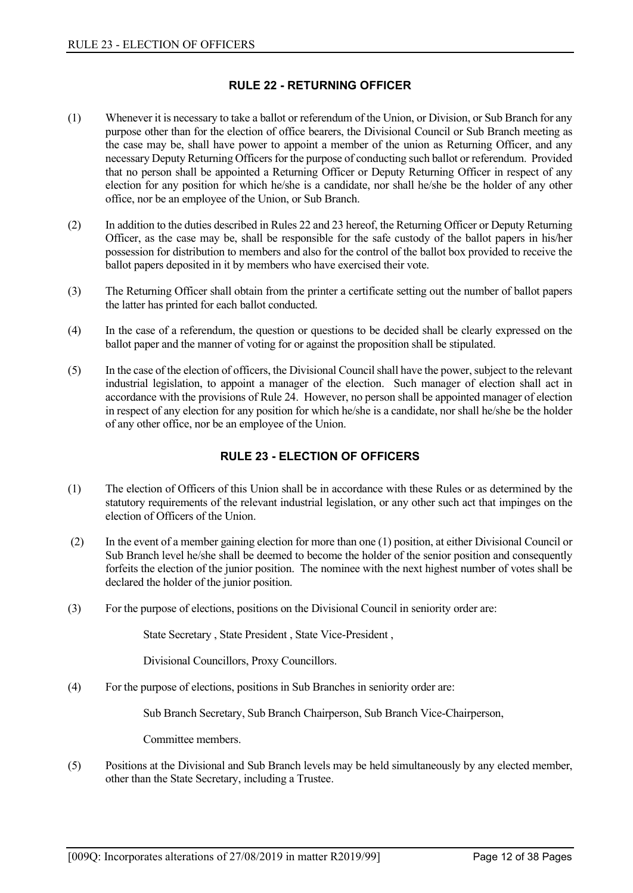## **RULE 22 - RETURNING OFFICER**

- <span id="page-13-0"></span>(1) Whenever it is necessary to take a ballot or referendum of the Union, or Division, or Sub Branch for any purpose other than for the election of office bearers, the Divisional Council or Sub Branch meeting as the case may be, shall have power to appoint a member of the union as Returning Officer, and any necessary Deputy Returning Officers for the purpose of conducting such ballot or referendum. Provided that no person shall be appointed a Returning Officer or Deputy Returning Officer in respect of any election for any position for which he/she is a candidate, nor shall he/she be the holder of any other office, nor be an employee of the Union, or Sub Branch.
- (2) In addition to the duties described in Rules 22 and 23 hereof, the Returning Officer or Deputy Returning Officer, as the case may be, shall be responsible for the safe custody of the ballot papers in his/her possession for distribution to members and also for the control of the ballot box provided to receive the ballot papers deposited in it by members who have exercised their vote.
- (3) The Returning Officer shall obtain from the printer a certificate setting out the number of ballot papers the latter has printed for each ballot conducted.
- (4) In the case of a referendum, the question or questions to be decided shall be clearly expressed on the ballot paper and the manner of voting for or against the proposition shall be stipulated.
- (5) In the case of the election of officers, the Divisional Council shall have the power, subject to the relevant industrial legislation, to appoint a manager of the election. Such manager of election shall act in accordance with the provisions of Rule 24. However, no person shall be appointed manager of election in respect of any election for any position for which he/she is a candidate, nor shall he/she be the holder of any other office, nor be an employee of the Union.

## **RULE 23 - ELECTION OF OFFICERS**

- <span id="page-13-1"></span>(1) The election of Officers of this Union shall be in accordance with these Rules or as determined by the statutory requirements of the relevant industrial legislation, or any other such act that impinges on the election of Officers of the Union.
- (2) In the event of a member gaining election for more than one (1) position, at either Divisional Council or Sub Branch level he/she shall be deemed to become the holder of the senior position and consequently forfeits the election of the junior position. The nominee with the next highest number of votes shall be declared the holder of the junior position.
- (3) For the purpose of elections, positions on the Divisional Council in seniority order are:

State Secretary , State President , State Vice-President ,

Divisional Councillors, Proxy Councillors.

(4) For the purpose of elections, positions in Sub Branches in seniority order are:

Sub Branch Secretary, Sub Branch Chairperson, Sub Branch Vice-Chairperson,

Committee members.

(5) Positions at the Divisional and Sub Branch levels may be held simultaneously by any elected member, other than the State Secretary, including a Trustee.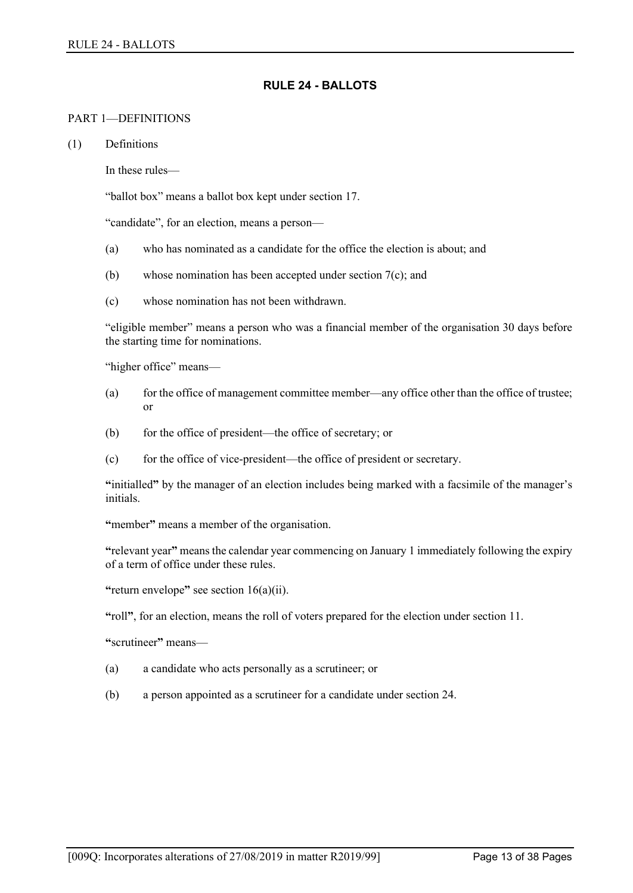## **RULE 24 - BALLOTS**

#### <span id="page-14-0"></span>PART 1—DEFINITIONS

(1) Definitions

In these rules—

"ballot box" means a ballot box kept under section 17.

"candidate", for an election, means a person—

- (a) who has nominated as a candidate for the office the election is about; and
- (b) whose nomination has been accepted under section 7(c); and
- (c) whose nomination has not been withdrawn.

"eligible member" means a person who was a financial member of the organisation 30 days before the starting time for nominations.

"higher office" means—

- (a) for the office of management committee member—any office other than the office of trustee; or
- (b) for the office of president—the office of secretary; or
- (c) for the office of vice-president—the office of president or secretary.

**"**initialled**"** by the manager of an election includes being marked with a facsimile of the manager's initials.

**"**member**"** means a member of the organisation.

**"**relevant year**"** means the calendar year commencing on January 1 immediately following the expiry of a term of office under these rules.

**"**return envelope**"** see section 16(a)(ii).

**"**roll**"**, for an election, means the roll of voters prepared for the election under section 11.

**"**scrutineer**"** means—

- (a) a candidate who acts personally as a scrutineer; or
- (b) a person appointed as a scrutineer for a candidate under section 24.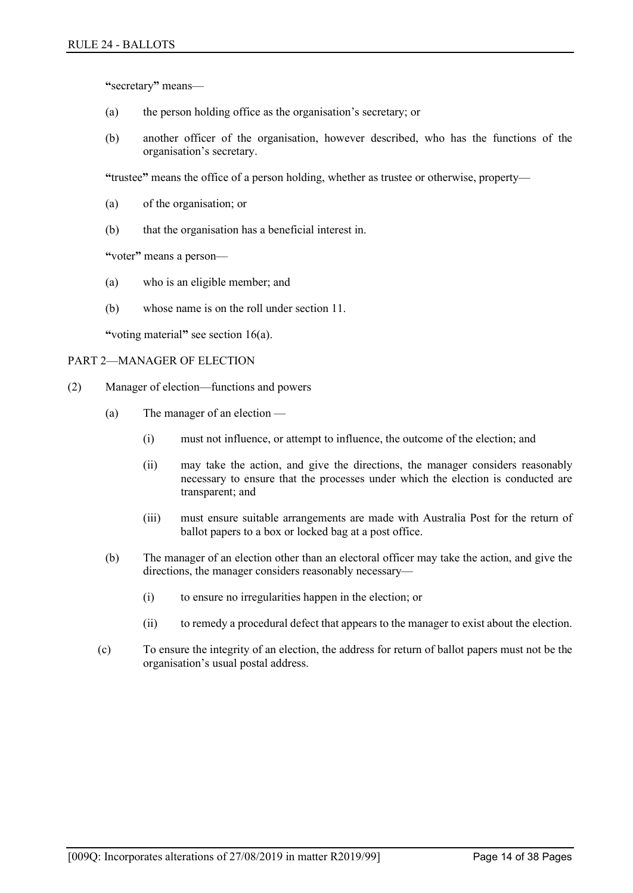**"**secretary**"** means—

- (a) the person holding office as the organisation's secretary; or
- (b) another officer of the organisation, however described, who has the functions of the organisation's secretary.

**"**trustee**"** means the office of a person holding, whether as trustee or otherwise, property—

- (a) of the organisation; or
- (b) that the organisation has a beneficial interest in.

**"**voter**"** means a person—

- (a) who is an eligible member; and
- (b) whose name is on the roll under section 11.

**"**voting material**"** see section 16(a).

#### PART 2—MANAGER OF ELECTION

- (2) Manager of election—functions and powers
	- (a) The manager of an election
		- (i) must not influence, or attempt to influence, the outcome of the election; and
		- (ii) may take the action, and give the directions, the manager considers reasonably necessary to ensure that the processes under which the election is conducted are transparent; and
		- (iii) must ensure suitable arrangements are made with Australia Post for the return of ballot papers to a box or locked bag at a post office.
	- (b) The manager of an election other than an electoral officer may take the action, and give the directions, the manager considers reasonably necessary—
		- (i) to ensure no irregularities happen in the election; or
		- (ii) to remedy a procedural defect that appears to the manager to exist about the election.
	- (c) To ensure the integrity of an election, the address for return of ballot papers must not be the organisation's usual postal address.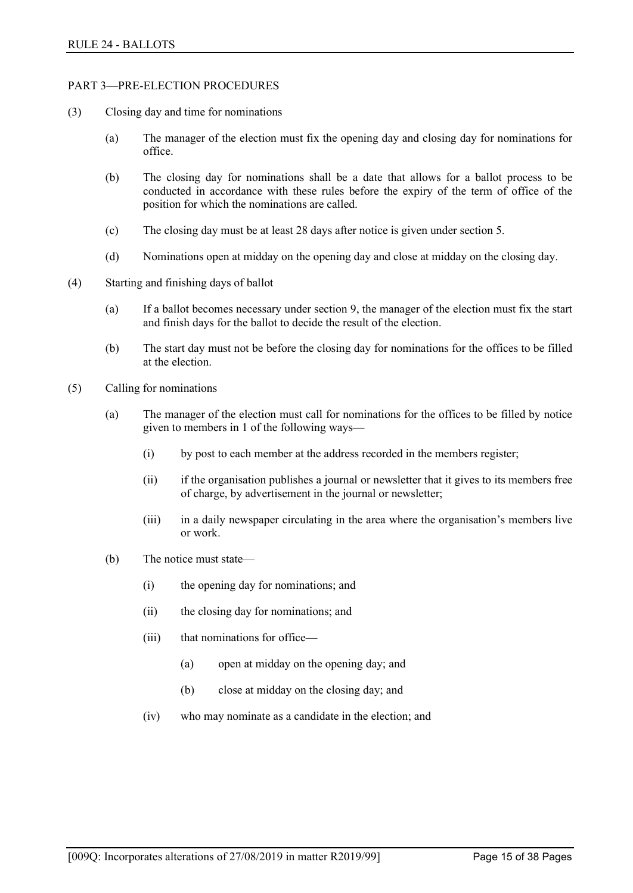#### PART 3—PRE-ELECTION PROCEDURES

- (3) Closing day and time for nominations
	- (a) The manager of the election must fix the opening day and closing day for nominations for office.
	- (b) The closing day for nominations shall be a date that allows for a ballot process to be conducted in accordance with these rules before the expiry of the term of office of the position for which the nominations are called.
	- (c) The closing day must be at least 28 days after notice is given under section 5.
	- (d) Nominations open at midday on the opening day and close at midday on the closing day.
- (4) Starting and finishing days of ballot
	- (a) If a ballot becomes necessary under section 9, the manager of the election must fix the start and finish days for the ballot to decide the result of the election.
	- (b) The start day must not be before the closing day for nominations for the offices to be filled at the election.
- (5) Calling for nominations
	- (a) The manager of the election must call for nominations for the offices to be filled by notice given to members in 1 of the following ways—
		- (i) by post to each member at the address recorded in the members register;
		- (ii) if the organisation publishes a journal or newsletter that it gives to its members free of charge, by advertisement in the journal or newsletter;
		- (iii) in a daily newspaper circulating in the area where the organisation's members live or work.
	- (b) The notice must state—
		- (i) the opening day for nominations; and
		- (ii) the closing day for nominations; and
		- (iii) that nominations for office—
			- (a) open at midday on the opening day; and
			- (b) close at midday on the closing day; and
		- (iv) who may nominate as a candidate in the election; and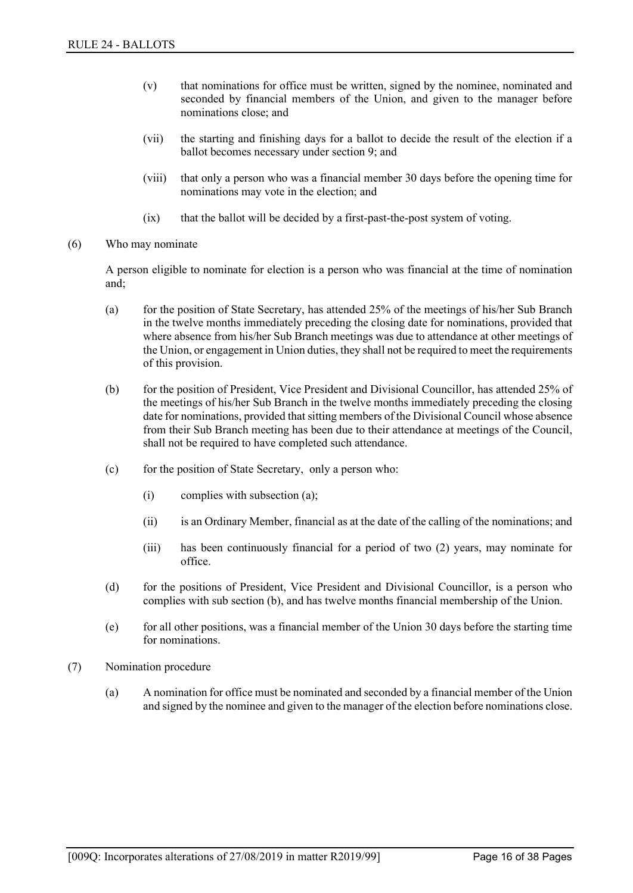- (v) that nominations for office must be written, signed by the nominee, nominated and seconded by financial members of the Union, and given to the manager before nominations close; and
- (vii) the starting and finishing days for a ballot to decide the result of the election if a ballot becomes necessary under section 9; and
- (viii) that only a person who was a financial member 30 days before the opening time for nominations may vote in the election; and
- (ix) that the ballot will be decided by a first-past-the-post system of voting.
- (6) Who may nominate

A person eligible to nominate for election is a person who was financial at the time of nomination and;

- (a) for the position of State Secretary, has attended 25% of the meetings of his/her Sub Branch in the twelve months immediately preceding the closing date for nominations, provided that where absence from his/her Sub Branch meetings was due to attendance at other meetings of the Union, or engagement in Union duties, they shall not be required to meet the requirements of this provision.
- (b) for the position of President, Vice President and Divisional Councillor, has attended 25% of the meetings of his/her Sub Branch in the twelve months immediately preceding the closing date for nominations, provided that sitting members of the Divisional Council whose absence from their Sub Branch meeting has been due to their attendance at meetings of the Council, shall not be required to have completed such attendance.
- (c) for the position of State Secretary, only a person who:
	- (i) complies with subsection (a);
	- (ii) is an Ordinary Member, financial as at the date of the calling of the nominations; and
	- (iii) has been continuously financial for a period of two (2) years, may nominate for office.
- (d) for the positions of President, Vice President and Divisional Councillor, is a person who complies with sub section (b), and has twelve months financial membership of the Union.
- (e) for all other positions, was a financial member of the Union 30 days before the starting time for nominations.
- (7) Nomination procedure
	- (a) A nomination for office must be nominated and seconded by a financial member of the Union and signed by the nominee and given to the manager of the election before nominations close.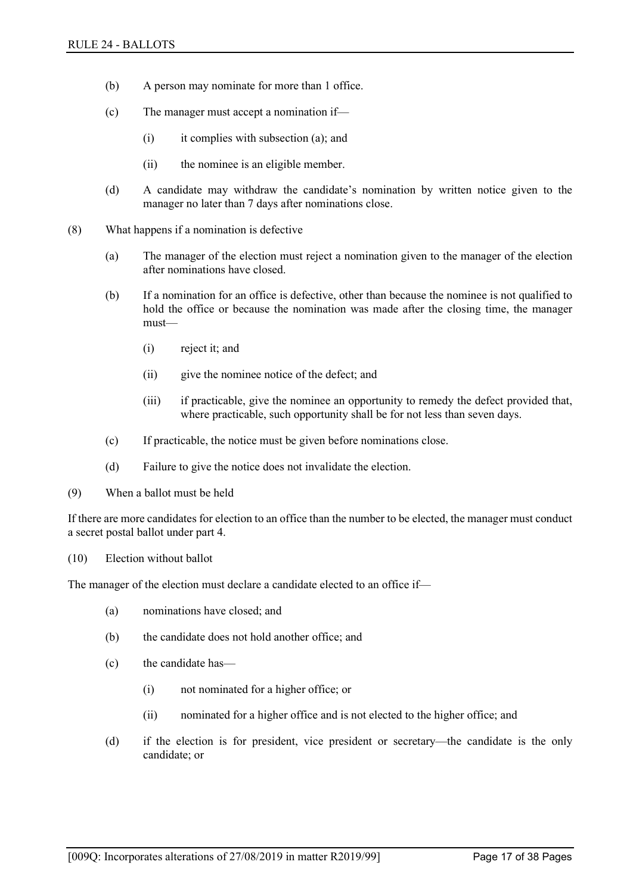- (b) A person may nominate for more than 1 office.
- (c) The manager must accept a nomination if—
	- (i) it complies with subsection (a); and
	- (ii) the nominee is an eligible member.
- (d) A candidate may withdraw the candidate's nomination by written notice given to the manager no later than 7 days after nominations close.
- (8) What happens if a nomination is defective
	- (a) The manager of the election must reject a nomination given to the manager of the election after nominations have closed.
	- (b) If a nomination for an office is defective, other than because the nominee is not qualified to hold the office or because the nomination was made after the closing time, the manager must—
		- (i) reject it; and
		- (ii) give the nominee notice of the defect; and
		- (iii) if practicable, give the nominee an opportunity to remedy the defect provided that, where practicable, such opportunity shall be for not less than seven days.
	- (c) If practicable, the notice must be given before nominations close.
	- (d) Failure to give the notice does not invalidate the election.
- (9) When a ballot must be held

If there are more candidates for election to an office than the number to be elected, the manager must conduct a secret postal ballot under part 4.

(10) Election without ballot

The manager of the election must declare a candidate elected to an office if—

- (a) nominations have closed; and
- (b) the candidate does not hold another office; and
- (c) the candidate has—
	- (i) not nominated for a higher office; or
	- (ii) nominated for a higher office and is not elected to the higher office; and
- (d) if the election is for president, vice president or secretary—the candidate is the only candidate; or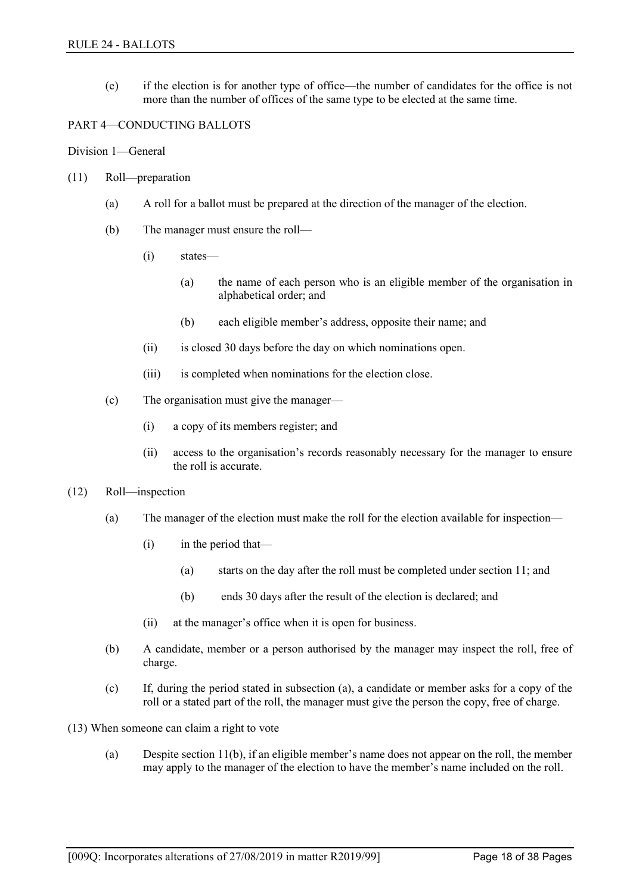(e) if the election is for another type of office—the number of candidates for the office is not more than the number of offices of the same type to be elected at the same time.

#### PART 4—CONDUCTING BALLOTS

Division 1—General

- (11) Roll—preparation
	- (a) A roll for a ballot must be prepared at the direction of the manager of the election.
	- (b) The manager must ensure the roll—
		- (i) states—
			- (a) the name of each person who is an eligible member of the organisation in alphabetical order; and
			- (b) each eligible member's address, opposite their name; and
		- (ii) is closed 30 days before the day on which nominations open.
		- (iii) is completed when nominations for the election close.
	- (c) The organisation must give the manager—
		- (i) a copy of its members register; and
		- (ii) access to the organisation's records reasonably necessary for the manager to ensure the roll is accurate.
- (12) Roll—inspection
	- (a) The manager of the election must make the roll for the election available for inspection—
		- (i) in the period that—
			- (a) starts on the day after the roll must be completed under section 11; and
			- (b) ends 30 days after the result of the election is declared; and
		- (ii) at the manager's office when it is open for business.
	- (b) A candidate, member or a person authorised by the manager may inspect the roll, free of charge.
	- (c) If, during the period stated in subsection (a), a candidate or member asks for a copy of the roll or a stated part of the roll, the manager must give the person the copy, free of charge.
- (13) When someone can claim a right to vote
	- (a) Despite section 11(b), if an eligible member's name does not appear on the roll, the member may apply to the manager of the election to have the member's name included on the roll.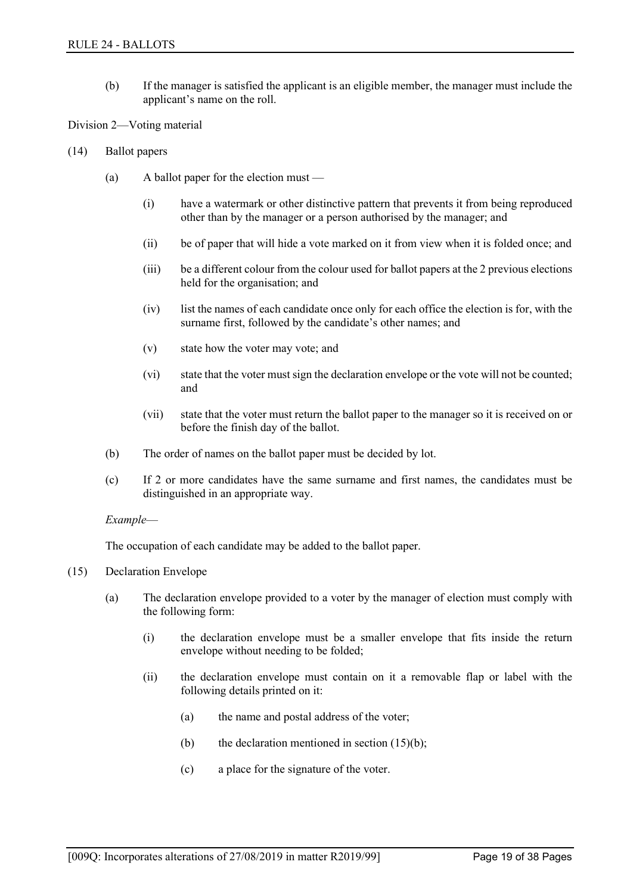(b) If the manager is satisfied the applicant is an eligible member, the manager must include the applicant's name on the roll.

Division 2—Voting material

- (14) Ballot papers
	- (a) A ballot paper for the election must
		- (i) have a watermark or other distinctive pattern that prevents it from being reproduced other than by the manager or a person authorised by the manager; and
		- (ii) be of paper that will hide a vote marked on it from view when it is folded once; and
		- (iii) be a different colour from the colour used for ballot papers at the 2 previous elections held for the organisation; and
		- (iv) list the names of each candidate once only for each office the election is for, with the surname first, followed by the candidate's other names; and
		- (v) state how the voter may vote; and
		- (vi) state that the voter must sign the declaration envelope or the vote will not be counted; and
		- (vii) state that the voter must return the ballot paper to the manager so it is received on or before the finish day of the ballot.
	- (b) The order of names on the ballot paper must be decided by lot.
	- (c) If 2 or more candidates have the same surname and first names, the candidates must be distinguished in an appropriate way.

#### *Example*—

The occupation of each candidate may be added to the ballot paper.

- (15) Declaration Envelope
	- (a) The declaration envelope provided to a voter by the manager of election must comply with the following form:
		- (i) the declaration envelope must be a smaller envelope that fits inside the return envelope without needing to be folded;
		- (ii) the declaration envelope must contain on it a removable flap or label with the following details printed on it:
			- (a) the name and postal address of the voter;
			- (b) the declaration mentioned in section  $(15)(b)$ ;
			- (c) a place for the signature of the voter.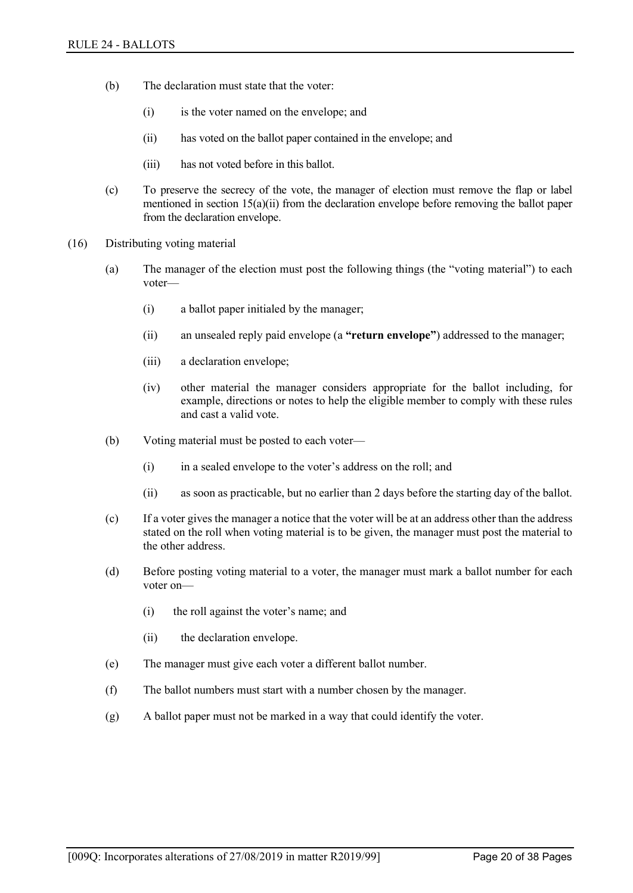- (b) The declaration must state that the voter:
	- (i) is the voter named on the envelope; and
	- (ii) has voted on the ballot paper contained in the envelope; and
	- (iii) has not voted before in this ballot.
- (c) To preserve the secrecy of the vote, the manager of election must remove the flap or label mentioned in section 15(a)(ii) from the declaration envelope before removing the ballot paper from the declaration envelope.
- (16) Distributing voting material
	- (a) The manager of the election must post the following things (the "voting material") to each voter—
		- (i) a ballot paper initialed by the manager;
		- (ii) an unsealed reply paid envelope (a **"return envelope"**) addressed to the manager;
		- (iii) a declaration envelope;
		- (iv) other material the manager considers appropriate for the ballot including, for example, directions or notes to help the eligible member to comply with these rules and cast a valid vote.
	- (b) Voting material must be posted to each voter—
		- (i) in a sealed envelope to the voter's address on the roll; and
		- (ii) as soon as practicable, but no earlier than 2 days before the starting day of the ballot.
	- (c) If a voter gives the manager a notice that the voter will be at an address other than the address stated on the roll when voting material is to be given, the manager must post the material to the other address.
	- (d) Before posting voting material to a voter, the manager must mark a ballot number for each voter on—
		- (i) the roll against the voter's name; and
		- (ii) the declaration envelope.
	- (e) The manager must give each voter a different ballot number.
	- (f) The ballot numbers must start with a number chosen by the manager.
	- (g) A ballot paper must not be marked in a way that could identify the voter.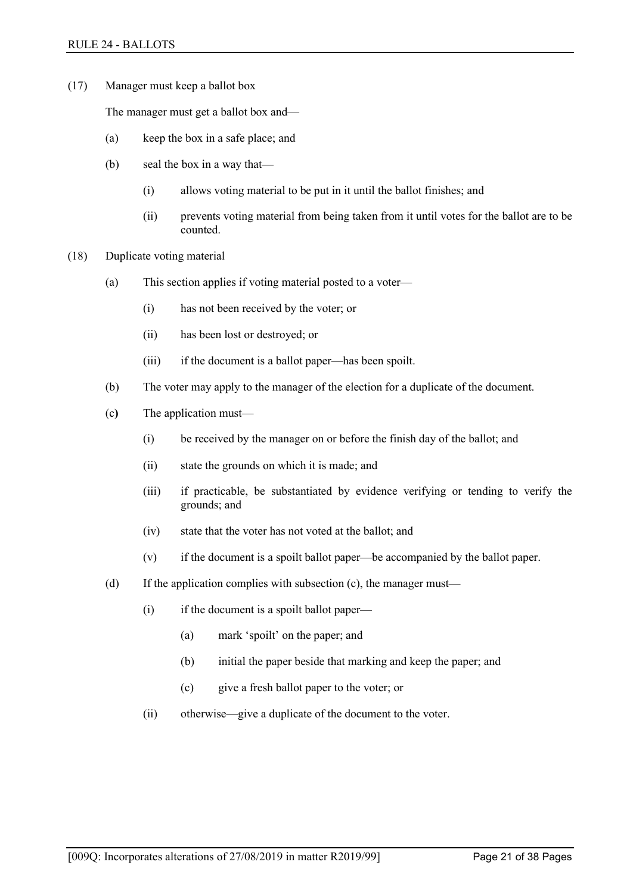(17) Manager must keep a ballot box

The manager must get a ballot box and—

- (a) keep the box in a safe place; and
- (b) seal the box in a way that—
	- (i) allows voting material to be put in it until the ballot finishes; and
	- (ii) prevents voting material from being taken from it until votes for the ballot are to be counted.
- (18) Duplicate voting material
	- (a) This section applies if voting material posted to a voter—
		- (i) has not been received by the voter; or
		- (ii) has been lost or destroyed; or
		- (iii) if the document is a ballot paper—has been spoilt.
	- (b) The voter may apply to the manager of the election for a duplicate of the document.
	- (c**)** The application must—
		- (i) be received by the manager on or before the finish day of the ballot; and
		- (ii) state the grounds on which it is made; and
		- (iii) if practicable, be substantiated by evidence verifying or tending to verify the grounds; and
		- (iv) state that the voter has not voted at the ballot; and
		- (v) if the document is a spoilt ballot paper—be accompanied by the ballot paper.
	- (d) If the application complies with subsection (c), the manager must—
		- (i) if the document is a spoilt ballot paper—
			- (a) mark 'spoilt' on the paper; and
			- (b) initial the paper beside that marking and keep the paper; and
			- (c) give a fresh ballot paper to the voter; or
		- (ii) otherwise—give a duplicate of the document to the voter.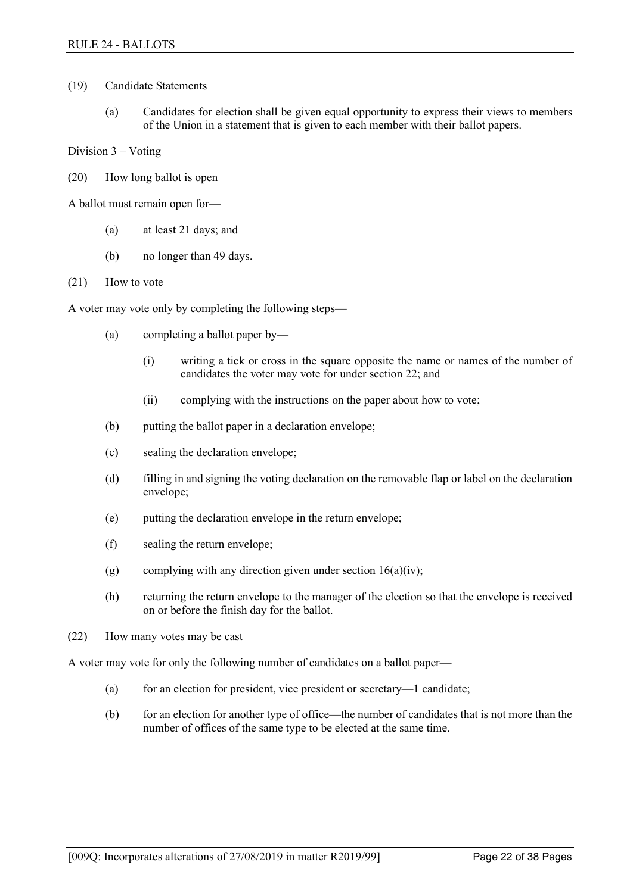- (19) Candidate Statements
	- (a) Candidates for election shall be given equal opportunity to express their views to members of the Union in a statement that is given to each member with their ballot papers.

Division 3 – Voting

(20) How long ballot is open

A ballot must remain open for—

- (a) at least 21 days; and
- (b) no longer than 49 days.
- (21) How to vote

A voter may vote only by completing the following steps—

- (a) completing a ballot paper by—
	- (i) writing a tick or cross in the square opposite the name or names of the number of candidates the voter may vote for under section 22; and
	- (ii) complying with the instructions on the paper about how to vote;
- (b) putting the ballot paper in a declaration envelope;
- (c) sealing the declaration envelope;
- (d) filling in and signing the voting declaration on the removable flap or label on the declaration envelope;
- (e) putting the declaration envelope in the return envelope;
- (f) sealing the return envelope;
- (g) complying with any direction given under section  $16(a)(iv)$ ;
- (h) returning the return envelope to the manager of the election so that the envelope is received on or before the finish day for the ballot.
- (22) How many votes may be cast

A voter may vote for only the following number of candidates on a ballot paper—

- (a) for an election for president, vice president or secretary—1 candidate;
- (b) for an election for another type of office—the number of candidates that is not more than the number of offices of the same type to be elected at the same time.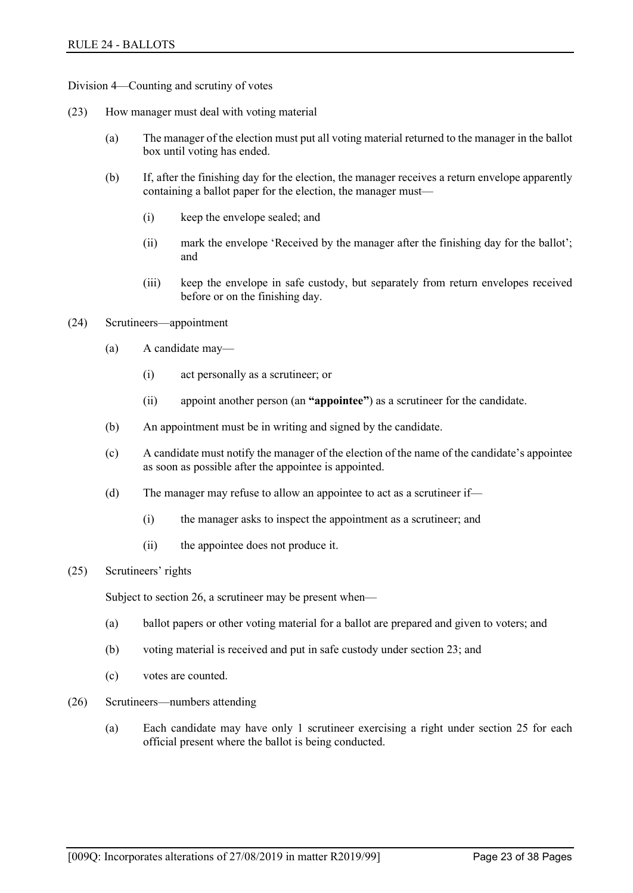Division 4—Counting and scrutiny of votes

- (23) How manager must deal with voting material
	- (a) The manager of the election must put all voting material returned to the manager in the ballot box until voting has ended.
	- (b) If, after the finishing day for the election, the manager receives a return envelope apparently containing a ballot paper for the election, the manager must—
		- (i) keep the envelope sealed; and
		- (ii) mark the envelope 'Received by the manager after the finishing day for the ballot'; and
		- (iii) keep the envelope in safe custody, but separately from return envelopes received before or on the finishing day.
- (24) Scrutineers—appointment
	- (a) A candidate may—
		- (i) act personally as a scrutineer; or
		- (ii) appoint another person (an **"appointee"**) as a scrutineer for the candidate.
	- (b) An appointment must be in writing and signed by the candidate.
	- (c) A candidate must notify the manager of the election of the name of the candidate's appointee as soon as possible after the appointee is appointed.
	- (d) The manager may refuse to allow an appointee to act as a scrutineer if—
		- (i) the manager asks to inspect the appointment as a scrutineer; and
		- (ii) the appointee does not produce it.
- (25) Scrutineers' rights

Subject to section 26, a scrutineer may be present when—

- (a) ballot papers or other voting material for a ballot are prepared and given to voters; and
- (b) voting material is received and put in safe custody under section 23; and
- (c) votes are counted.
- (26) Scrutineers—numbers attending
	- (a) Each candidate may have only 1 scrutineer exercising a right under section 25 for each official present where the ballot is being conducted.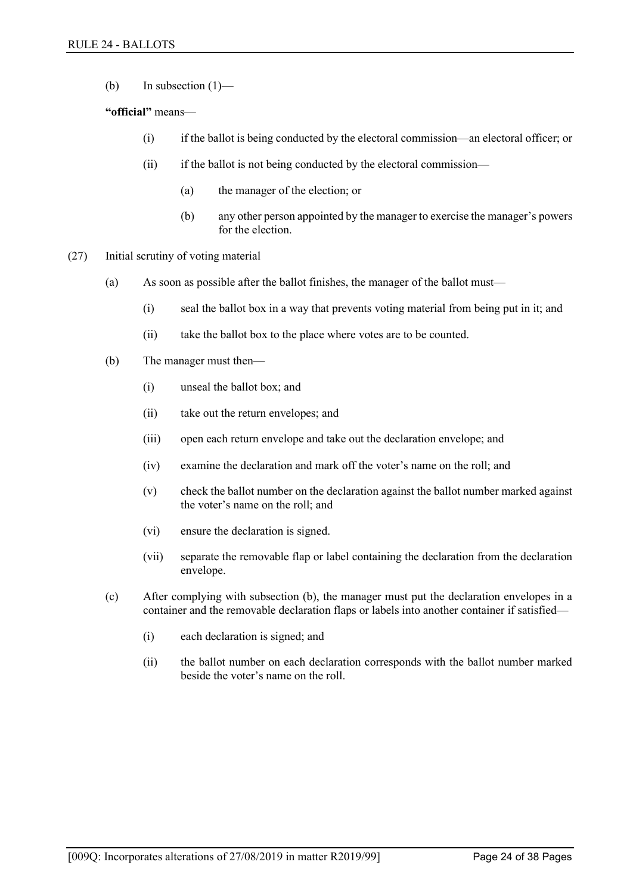(b) In subsection  $(1)$ —

## **"official"** means—

- (i) if the ballot is being conducted by the electoral commission—an electoral officer; or
- (ii) if the ballot is not being conducted by the electoral commission—
	- (a) the manager of the election; or
	- (b) any other person appointed by the manager to exercise the manager's powers for the election
- (27) Initial scrutiny of voting material
	- (a) As soon as possible after the ballot finishes, the manager of the ballot must—
		- (i) seal the ballot box in a way that prevents voting material from being put in it; and
		- (ii) take the ballot box to the place where votes are to be counted.
	- (b) The manager must then—
		- (i) unseal the ballot box; and
		- (ii) take out the return envelopes; and
		- (iii) open each return envelope and take out the declaration envelope; and
		- (iv) examine the declaration and mark off the voter's name on the roll; and
		- (v) check the ballot number on the declaration against the ballot number marked against the voter's name on the roll; and
		- (vi) ensure the declaration is signed.
		- (vii) separate the removable flap or label containing the declaration from the declaration envelope.
	- (c) After complying with subsection (b), the manager must put the declaration envelopes in a container and the removable declaration flaps or labels into another container if satisfied—
		- (i) each declaration is signed; and
		- (ii) the ballot number on each declaration corresponds with the ballot number marked beside the voter's name on the roll.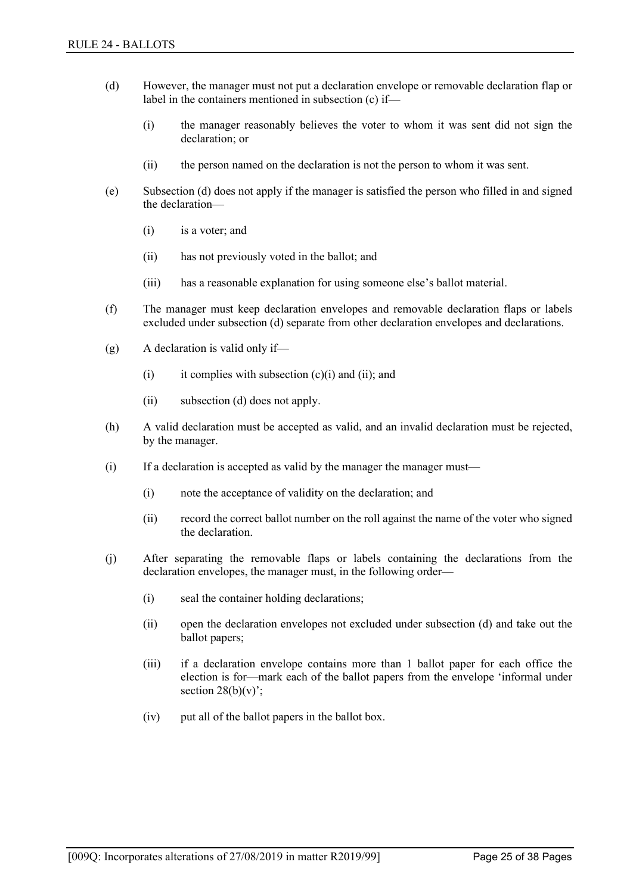- (d) However, the manager must not put a declaration envelope or removable declaration flap or label in the containers mentioned in subsection (c) if—
	- (i) the manager reasonably believes the voter to whom it was sent did not sign the declaration; or
	- (ii) the person named on the declaration is not the person to whom it was sent.
- (e) Subsection (d) does not apply if the manager is satisfied the person who filled in and signed the declaration—
	- (i) is a voter; and
	- (ii) has not previously voted in the ballot; and
	- (iii) has a reasonable explanation for using someone else's ballot material.
- (f) The manager must keep declaration envelopes and removable declaration flaps or labels excluded under subsection (d) separate from other declaration envelopes and declarations.
- (g) A declaration is valid only if—
	- (i) it complies with subsection  $(c)(i)$  and  $(ii)$ ; and
	- (ii) subsection (d) does not apply.
- (h) A valid declaration must be accepted as valid, and an invalid declaration must be rejected, by the manager.
- (i) If a declaration is accepted as valid by the manager the manager must—
	- (i) note the acceptance of validity on the declaration; and
	- (ii) record the correct ballot number on the roll against the name of the voter who signed the declaration.
- (j) After separating the removable flaps or labels containing the declarations from the declaration envelopes, the manager must, in the following order—
	- (i) seal the container holding declarations;
	- (ii) open the declaration envelopes not excluded under subsection (d) and take out the ballot papers;
	- (iii) if a declaration envelope contains more than 1 ballot paper for each office the election is for—mark each of the ballot papers from the envelope 'informal under section  $28(b)(v)$ ;
	- (iv) put all of the ballot papers in the ballot box.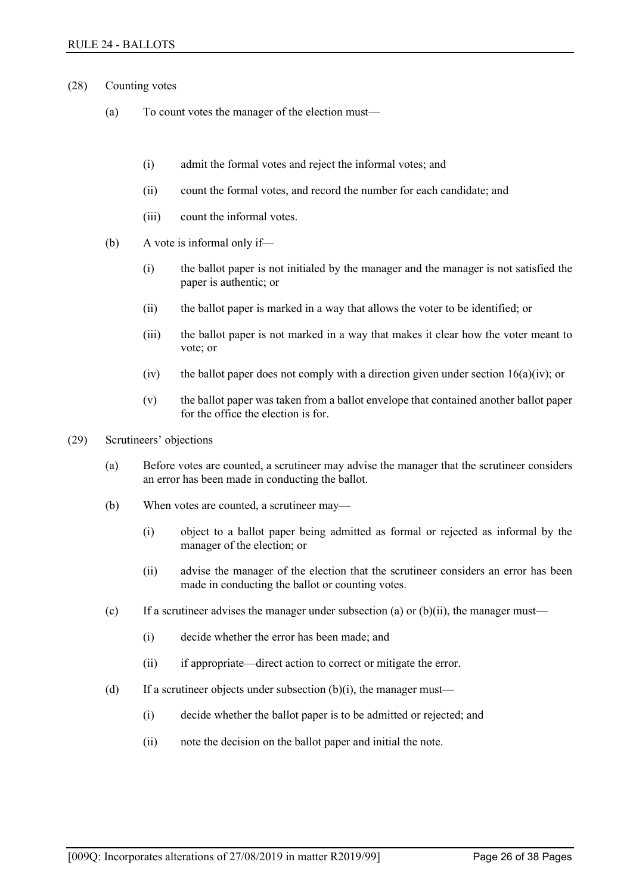- (28) Counting votes
	- (a) To count votes the manager of the election must—
		- (i) admit the formal votes and reject the informal votes; and
		- (ii) count the formal votes, and record the number for each candidate; and
		- (iii) count the informal votes.
	- (b) A vote is informal only if—
		- (i) the ballot paper is not initialed by the manager and the manager is not satisfied the paper is authentic; or
		- (ii) the ballot paper is marked in a way that allows the voter to be identified; or
		- (iii) the ballot paper is not marked in a way that makes it clear how the voter meant to vote; or
		- (iv) the ballot paper does not comply with a direction given under section  $16(a)(iv)$ ; or
		- (v) the ballot paper was taken from a ballot envelope that contained another ballot paper for the office the election is for.
- (29) Scrutineers' objections
	- (a) Before votes are counted, a scrutineer may advise the manager that the scrutineer considers an error has been made in conducting the ballot.
	- (b) When votes are counted, a scrutineer may—
		- (i) object to a ballot paper being admitted as formal or rejected as informal by the manager of the election; or
		- (ii) advise the manager of the election that the scrutineer considers an error has been made in conducting the ballot or counting votes.
	- (c) If a scrutineer advises the manager under subsection (a) or  $(b)(ii)$ , the manager must—
		- (i) decide whether the error has been made; and
		- (ii) if appropriate—direct action to correct or mitigate the error.
	- (d) If a scrutineer objects under subsection  $(b)(i)$ , the manager must—
		- (i) decide whether the ballot paper is to be admitted or rejected; and
		- (ii) note the decision on the ballot paper and initial the note.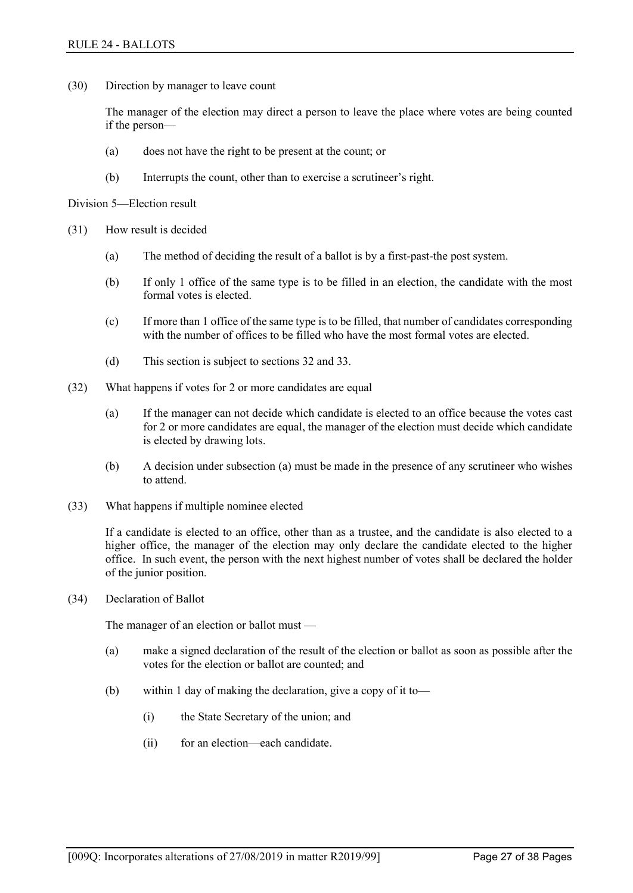(30) Direction by manager to leave count

The manager of the election may direct a person to leave the place where votes are being counted if the person—

- (a) does not have the right to be present at the count; or
- (b) Interrupts the count, other than to exercise a scrutineer's right.

Division 5—Election result

- (31) How result is decided
	- (a) The method of deciding the result of a ballot is by a first-past-the post system.
	- (b) If only 1 office of the same type is to be filled in an election, the candidate with the most formal votes is elected.
	- (c) If more than 1 office of the same type is to be filled, that number of candidates corresponding with the number of offices to be filled who have the most formal votes are elected.
	- (d) This section is subject to sections 32 and 33.
- (32) What happens if votes for 2 or more candidates are equal
	- (a) If the manager can not decide which candidate is elected to an office because the votes cast for 2 or more candidates are equal, the manager of the election must decide which candidate is elected by drawing lots.
	- (b) A decision under subsection (a) must be made in the presence of any scrutineer who wishes to attend.
- (33) What happens if multiple nominee elected

If a candidate is elected to an office, other than as a trustee, and the candidate is also elected to a higher office, the manager of the election may only declare the candidate elected to the higher office. In such event, the person with the next highest number of votes shall be declared the holder of the junior position.

(34) Declaration of Ballot

The manager of an election or ballot must —

- (a) make a signed declaration of the result of the election or ballot as soon as possible after the votes for the election or ballot are counted; and
- (b) within 1 day of making the declaration, give a copy of it to—
	- (i) the State Secretary of the union; and
	- (ii) for an election—each candidate.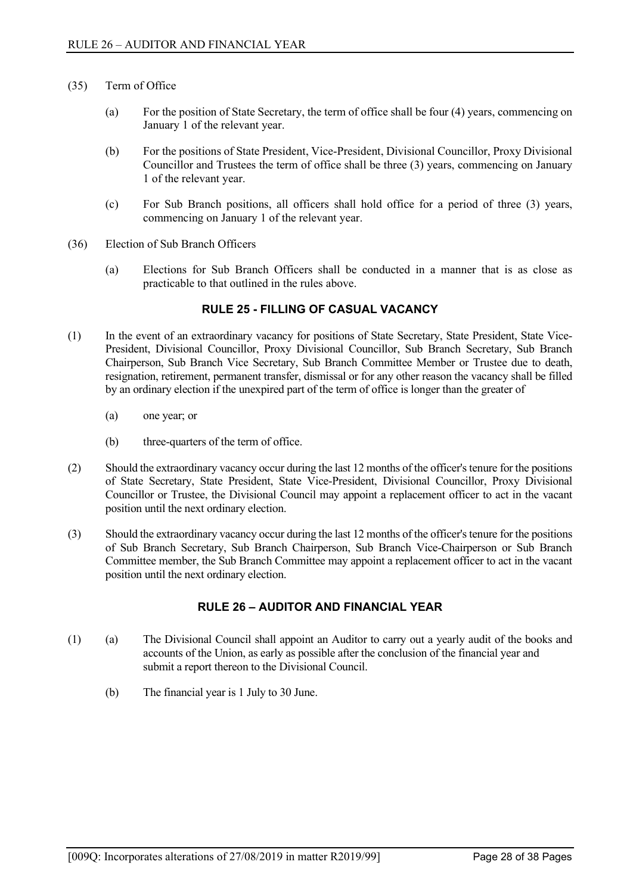- (35) Term of Office
	- (a) For the position of State Secretary, the term of office shall be four (4) years, commencing on January 1 of the relevant year.
	- (b) For the positions of State President, Vice-President, Divisional Councillor, Proxy Divisional Councillor and Trustees the term of office shall be three (3) years, commencing on January 1 of the relevant year.
	- (c) For Sub Branch positions, all officers shall hold office for a period of three (3) years, commencing on January 1 of the relevant year.
- (36) Election of Sub Branch Officers
	- (a) Elections for Sub Branch Officers shall be conducted in a manner that is as close as practicable to that outlined in the rules above.

## **RULE 25 - FILLING OF CASUAL VACANCY**

- <span id="page-29-0"></span>(1) In the event of an extraordinary vacancy for positions of State Secretary, State President, State Vice-President, Divisional Councillor, Proxy Divisional Councillor, Sub Branch Secretary, Sub Branch Chairperson, Sub Branch Vice Secretary, Sub Branch Committee Member or Trustee due to death, resignation, retirement, permanent transfer, dismissal or for any other reason the vacancy shall be filled by an ordinary election if the unexpired part of the term of office is longer than the greater of
	- (a) one year; or
	- (b) three-quarters of the term of office.
- (2) Should the extraordinary vacancy occur during the last 12 months of the officer's tenure for the positions of State Secretary, State President, State Vice-President, Divisional Councillor, Proxy Divisional Councillor or Trustee, the Divisional Council may appoint a replacement officer to act in the vacant position until the next ordinary election.
- (3) Should the extraordinary vacancy occur during the last 12 months of the officer's tenure for the positions of Sub Branch Secretary, Sub Branch Chairperson, Sub Branch Vice-Chairperson or Sub Branch Committee member, the Sub Branch Committee may appoint a replacement officer to act in the vacant position until the next ordinary election.

## **RULE 26 – AUDITOR AND FINANCIAL YEAR**

- <span id="page-29-1"></span>(1) (a) The Divisional Council shall appoint an Auditor to carry out a yearly audit of the books and accounts of the Union, as early as possible after the conclusion of the financial year and submit a report thereon to the Divisional Council.
	- (b) The financial year is 1 July to 30 June.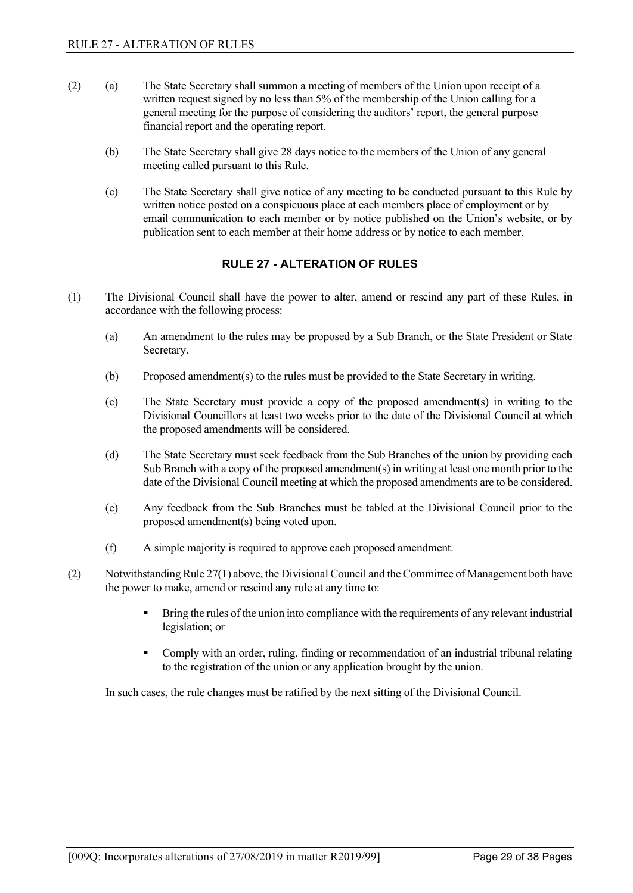- (2) (a) The State Secretary shall summon a meeting of members of the Union upon receipt of a written request signed by no less than 5% of the membership of the Union calling for a general meeting for the purpose of considering the auditors' report, the general purpose financial report and the operating report.
	- (b) The State Secretary shall give 28 days notice to the members of the Union of any general meeting called pursuant to this Rule.
	- (c) The State Secretary shall give notice of any meeting to be conducted pursuant to this Rule by written notice posted on a conspicuous place at each members place of employment or by email communication to each member or by notice published on the Union's website, or by publication sent to each member at their home address or by notice to each member.

## **RULE 27 - ALTERATION OF RULES**

- <span id="page-30-0"></span>(1) The Divisional Council shall have the power to alter, amend or rescind any part of these Rules, in accordance with the following process:
	- (a) An amendment to the rules may be proposed by a Sub Branch, or the State President or State Secretary.
	- (b) Proposed amendment(s) to the rules must be provided to the State Secretary in writing.
	- (c) The State Secretary must provide a copy of the proposed amendment(s) in writing to the Divisional Councillors at least two weeks prior to the date of the Divisional Council at which the proposed amendments will be considered.
	- (d) The State Secretary must seek feedback from the Sub Branches of the union by providing each Sub Branch with a copy of the proposed amendment(s) in writing at least one month prior to the date of the Divisional Council meeting at which the proposed amendments are to be considered.
	- (e) Any feedback from the Sub Branches must be tabled at the Divisional Council prior to the proposed amendment(s) being voted upon.
	- (f) A simple majority is required to approve each proposed amendment.
- (2) Notwithstanding Rule 27(1) above, the Divisional Council and the Committee of Management both have the power to make, amend or rescind any rule at any time to:
	- Bring the rules of the union into compliance with the requirements of any relevant industrial legislation; or
	- Comply with an order, ruling, finding or recommendation of an industrial tribunal relating to the registration of the union or any application brought by the union.

In such cases, the rule changes must be ratified by the next sitting of the Divisional Council.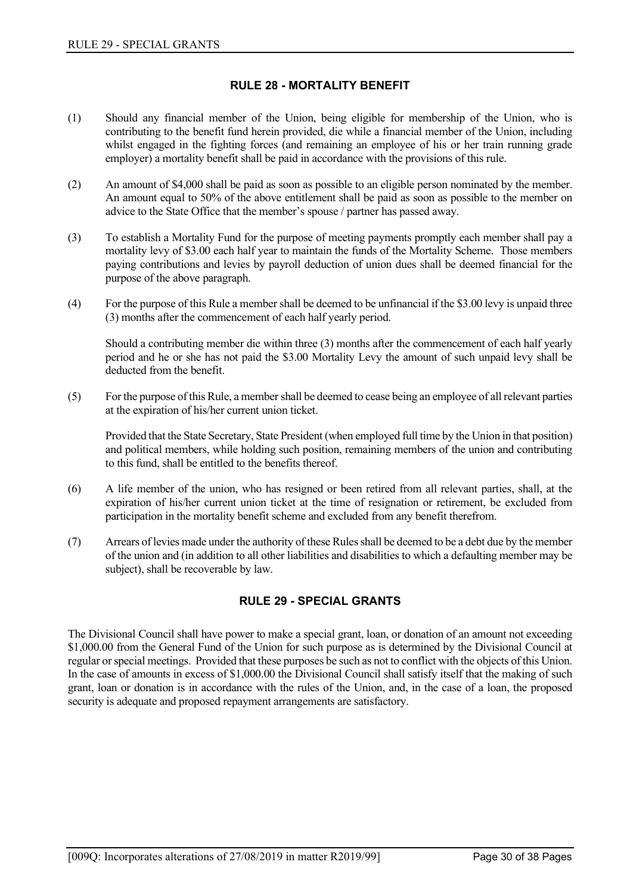## **RULE 28 - MORTALITY BENEFIT**

- <span id="page-31-0"></span>(1) Should any financial member of the Union, being eligible for membership of the Union, who is contributing to the benefit fund herein provided, die while a financial member of the Union, including whilst engaged in the fighting forces (and remaining an employee of his or her train running grade employer) a mortality benefit shall be paid in accordance with the provisions of this rule.
- (2) An amount of \$4,000 shall be paid as soon as possible to an eligible person nominated by the member. An amount equal to 50% of the above entitlement shall be paid as soon as possible to the member on advice to the State Office that the member's spouse / partner has passed away.
- (3) To establish a Mortality Fund for the purpose of meeting payments promptly each member shall pay a mortality levy of \$3.00 each half year to maintain the funds of the Mortality Scheme. Those members paying contributions and levies by payroll deduction of union dues shall be deemed financial for the purpose of the above paragraph.
- (4) For the purpose of this Rule a member shall be deemed to be unfinancial if the \$3.00 levy is unpaid three (3) months after the commencement of each half yearly period.

Should a contributing member die within three (3) months after the commencement of each half yearly period and he or she has not paid the \$3.00 Mortality Levy the amount of such unpaid levy shall be deducted from the benefit.

(5) For the purpose of this Rule, a member shall be deemed to cease being an employee of all relevant parties at the expiration of his/her current union ticket.

Provided that the State Secretary, State President (when employed full time by the Union in that position) and political members, while holding such position, remaining members of the union and contributing to this fund, shall be entitled to the benefits thereof.

- (6) A life member of the union, who has resigned or been retired from all relevant parties, shall, at the expiration of his/her current union ticket at the time of resignation or retirement, be excluded from participation in the mortality benefit scheme and excluded from any benefit therefrom.
- <span id="page-31-1"></span>(7) Arrears of levies made under the authority of these Rules shall be deemed to be a debt due by the member of the union and (in addition to all other liabilities and disabilities to which a defaulting member may be subject), shall be recoverable by law.

## **RULE 29 - SPECIAL GRANTS**

The Divisional Council shall have power to make a special grant, loan, or donation of an amount not exceeding \$1,000.00 from the General Fund of the Union for such purpose as is determined by the Divisional Council at regular or special meetings. Provided that these purposes be such as not to conflict with the objects of this Union. In the case of amounts in excess of \$1,000.00 the Divisional Council shall satisfy itself that the making of such grant, loan or donation is in accordance with the rules of the Union, and, in the case of a loan, the proposed security is adequate and proposed repayment arrangements are satisfactory.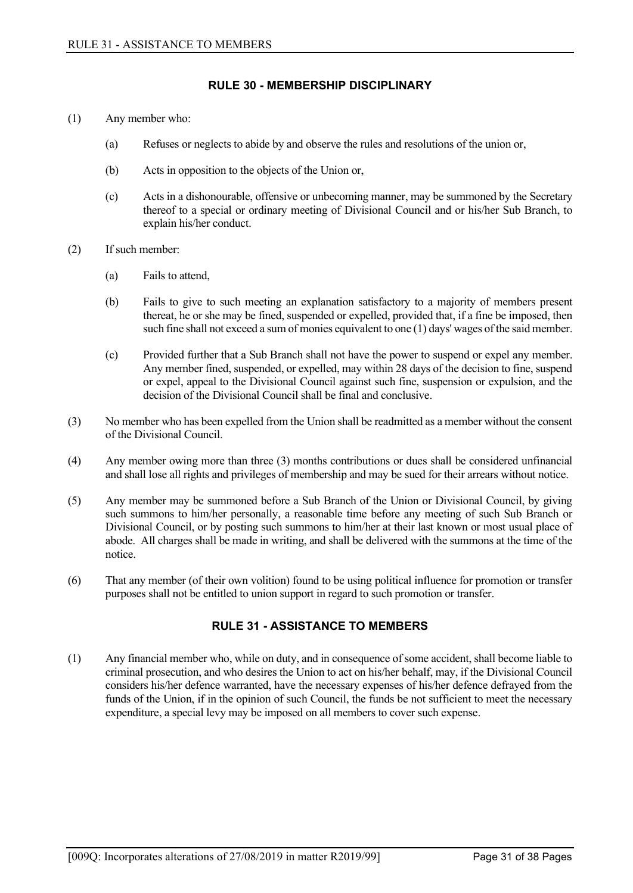### **RULE 30 - MEMBERSHIP DISCIPLINARY**

- <span id="page-32-0"></span>(1) Any member who:
	- (a) Refuses or neglects to abide by and observe the rules and resolutions of the union or,
	- (b) Acts in opposition to the objects of the Union or,
	- (c) Acts in a dishonourable, offensive or unbecoming manner, may be summoned by the Secretary thereof to a special or ordinary meeting of Divisional Council and or his/her Sub Branch, to explain his/her conduct.
- (2) If such member:
	- (a) Fails to attend,
	- (b) Fails to give to such meeting an explanation satisfactory to a majority of members present thereat, he or she may be fined, suspended or expelled, provided that, if a fine be imposed, then such fine shall not exceed a sum of monies equivalent to one (1) days' wages of the said member.
	- (c) Provided further that a Sub Branch shall not have the power to suspend or expel any member. Any member fined, suspended, or expelled, may within 28 days of the decision to fine, suspend or expel, appeal to the Divisional Council against such fine, suspension or expulsion, and the decision of the Divisional Council shall be final and conclusive.
- (3) No member who has been expelled from the Union shall be readmitted as a member without the consent of the Divisional Council.
- (4) Any member owing more than three (3) months contributions or dues shall be considered unfinancial and shall lose all rights and privileges of membership and may be sued for their arrears without notice.
- (5) Any member may be summoned before a Sub Branch of the Union or Divisional Council, by giving such summons to him/her personally, a reasonable time before any meeting of such Sub Branch or Divisional Council, or by posting such summons to him/her at their last known or most usual place of abode. All charges shall be made in writing, and shall be delivered with the summons at the time of the notice.
- <span id="page-32-1"></span>(6) That any member (of their own volition) found to be using political influence for promotion or transfer purposes shall not be entitled to union support in regard to such promotion or transfer.

## **RULE 31 - ASSISTANCE TO MEMBERS**

(1) Any financial member who, while on duty, and in consequence of some accident, shall become liable to criminal prosecution, and who desires the Union to act on his/her behalf, may, if the Divisional Council considers his/her defence warranted, have the necessary expenses of his/her defence defrayed from the funds of the Union, if in the opinion of such Council, the funds be not sufficient to meet the necessary expenditure, a special levy may be imposed on all members to cover such expense.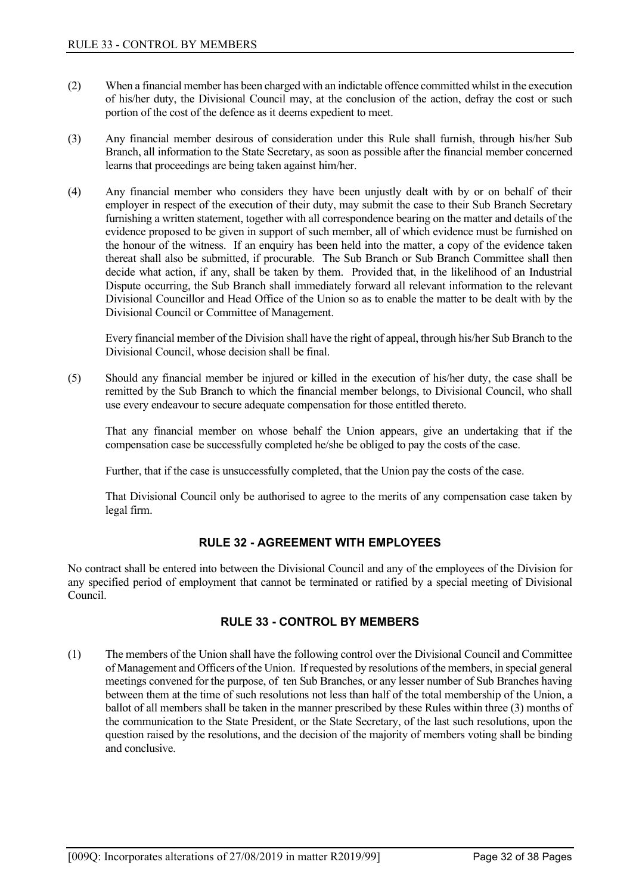- (2) When a financial member has been charged with an indictable offence committed whilst in the execution of his/her duty, the Divisional Council may, at the conclusion of the action, defray the cost or such portion of the cost of the defence as it deems expedient to meet.
- (3) Any financial member desirous of consideration under this Rule shall furnish, through his/her Sub Branch, all information to the State Secretary, as soon as possible after the financial member concerned learns that proceedings are being taken against him/her.
- (4) Any financial member who considers they have been unjustly dealt with by or on behalf of their employer in respect of the execution of their duty, may submit the case to their Sub Branch Secretary furnishing a written statement, together with all correspondence bearing on the matter and details of the evidence proposed to be given in support of such member, all of which evidence must be furnished on the honour of the witness. If an enquiry has been held into the matter, a copy of the evidence taken thereat shall also be submitted, if procurable. The Sub Branch or Sub Branch Committee shall then decide what action, if any, shall be taken by them. Provided that, in the likelihood of an Industrial Dispute occurring, the Sub Branch shall immediately forward all relevant information to the relevant Divisional Councillor and Head Office of the Union so as to enable the matter to be dealt with by the Divisional Council or Committee of Management.

Every financial member of the Division shall have the right of appeal, through his/her Sub Branch to the Divisional Council, whose decision shall be final.

(5) Should any financial member be injured or killed in the execution of his/her duty, the case shall be remitted by the Sub Branch to which the financial member belongs, to Divisional Council, who shall use every endeavour to secure adequate compensation for those entitled thereto.

That any financial member on whose behalf the Union appears, give an undertaking that if the compensation case be successfully completed he/she be obliged to pay the costs of the case.

Further, that if the case is unsuccessfully completed, that the Union pay the costs of the case.

That Divisional Council only be authorised to agree to the merits of any compensation case taken by legal firm.

## **RULE 32 - AGREEMENT WITH EMPLOYEES**

<span id="page-33-1"></span><span id="page-33-0"></span>No contract shall be entered into between the Divisional Council and any of the employees of the Division for any specified period of employment that cannot be terminated or ratified by a special meeting of Divisional Council.

## **RULE 33 - CONTROL BY MEMBERS**

(1) The members of the Union shall have the following control over the Divisional Council and Committee of Management and Officers of the Union. If requested by resolutions of the members, in special general meetings convened for the purpose, of ten Sub Branches, or any lesser number of Sub Branches having between them at the time of such resolutions not less than half of the total membership of the Union, a ballot of all members shall be taken in the manner prescribed by these Rules within three (3) months of the communication to the State President, or the State Secretary, of the last such resolutions, upon the question raised by the resolutions, and the decision of the majority of members voting shall be binding and conclusive.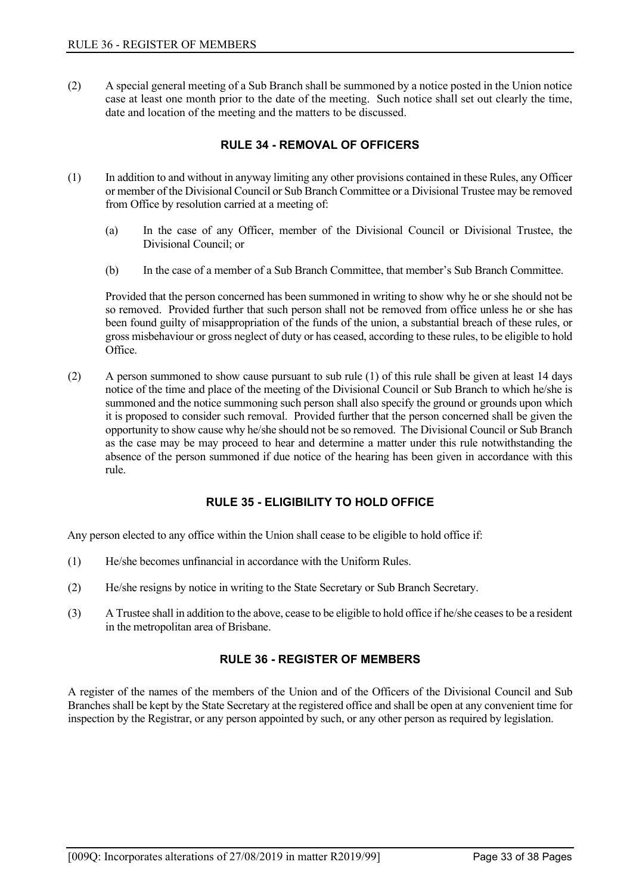<span id="page-34-0"></span>(2) A special general meeting of a Sub Branch shall be summoned by a notice posted in the Union notice case at least one month prior to the date of the meeting. Such notice shall set out clearly the time, date and location of the meeting and the matters to be discussed.

## **RULE 34 - REMOVAL OF OFFICERS**

- (1) In addition to and without in anyway limiting any other provisions contained in these Rules, any Officer or member of the Divisional Council or Sub Branch Committee or a Divisional Trustee may be removed from Office by resolution carried at a meeting of:
	- (a) In the case of any Officer, member of the Divisional Council or Divisional Trustee, the Divisional Council; or
	- (b) In the case of a member of a Sub Branch Committee, that member's Sub Branch Committee.

Provided that the person concerned has been summoned in writing to show why he or she should not be so removed. Provided further that such person shall not be removed from office unless he or she has been found guilty of misappropriation of the funds of the union, a substantial breach of these rules, or gross misbehaviour or gross neglect of duty or has ceased, according to these rules, to be eligible to hold Office.

(2) A person summoned to show cause pursuant to sub rule (1) of this rule shall be given at least 14 days notice of the time and place of the meeting of the Divisional Council or Sub Branch to which he/she is summoned and the notice summoning such person shall also specify the ground or grounds upon which it is proposed to consider such removal. Provided further that the person concerned shall be given the opportunity to show cause why he/she should not be so removed. The Divisional Council or Sub Branch as the case may be may proceed to hear and determine a matter under this rule notwithstanding the absence of the person summoned if due notice of the hearing has been given in accordance with this rule.

## **RULE 35 - ELIGIBILITY TO HOLD OFFICE**

<span id="page-34-1"></span>Any person elected to any office within the Union shall cease to be eligible to hold office if:

- (1) He/she becomes unfinancial in accordance with the Uniform Rules.
- (2) He/she resigns by notice in writing to the State Secretary or Sub Branch Secretary.
- <span id="page-34-2"></span>(3) A Trustee shall in addition to the above, cease to be eligible to hold office if he/she ceases to be a resident in the metropolitan area of Brisbane.

## **RULE 36 - REGISTER OF MEMBERS**

A register of the names of the members of the Union and of the Officers of the Divisional Council and Sub Branches shall be kept by the State Secretary at the registered office and shall be open at any convenient time for inspection by the Registrar, or any person appointed by such, or any other person as required by legislation.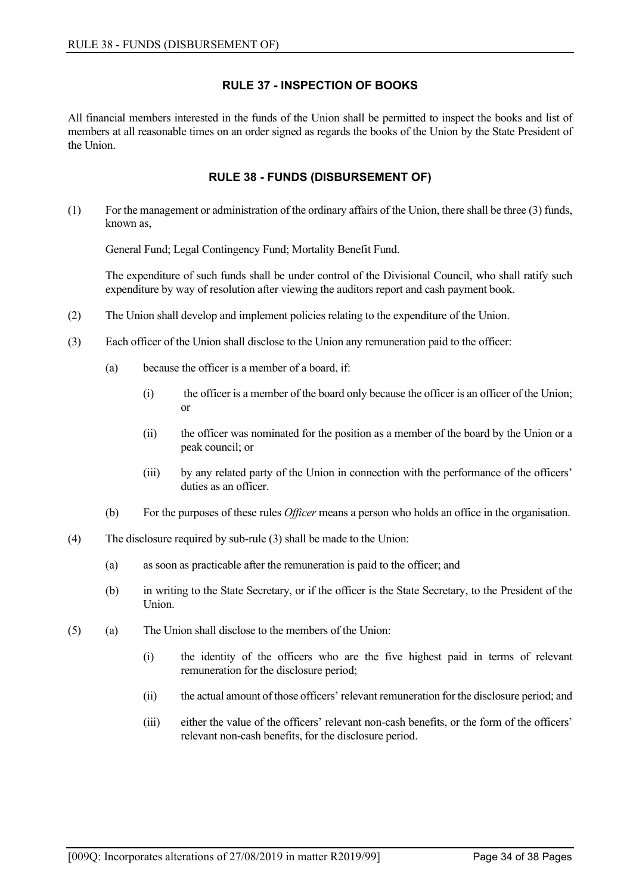## **RULE 37 - INSPECTION OF BOOKS**

<span id="page-35-1"></span><span id="page-35-0"></span>All financial members interested in the funds of the Union shall be permitted to inspect the books and list of members at all reasonable times on an order signed as regards the books of the Union by the State President of the Union.

## **RULE 38 - FUNDS (DISBURSEMENT OF)**

(1) For the management or administration of the ordinary affairs of the Union, there shall be three (3) funds, known as,

General Fund; Legal Contingency Fund; Mortality Benefit Fund.

The expenditure of such funds shall be under control of the Divisional Council, who shall ratify such expenditure by way of resolution after viewing the auditors report and cash payment book.

- (2) The Union shall develop and implement policies relating to the expenditure of the Union.
- (3) Each officer of the Union shall disclose to the Union any remuneration paid to the officer:
	- (a) because the officer is a member of a board, if:
		- (i) the officer is a member of the board only because the officer is an officer of the Union; or
		- (ii) the officer was nominated for the position as a member of the board by the Union or a peak council; or
		- (iii) by any related party of the Union in connection with the performance of the officers' duties as an officer.
	- (b) For the purposes of these rules *Officer* means a person who holds an office in the organisation.
- (4) The disclosure required by sub-rule (3) shall be made to the Union:
	- (a) as soon as practicable after the remuneration is paid to the officer; and
	- (b) in writing to the State Secretary, or if the officer is the State Secretary, to the President of the Union.
- (5) (a) The Union shall disclose to the members of the Union:
	- (i) the identity of the officers who are the five highest paid in terms of relevant remuneration for the disclosure period;
	- (ii) the actual amount of those officers' relevant remuneration for the disclosure period; and
	- (iii) either the value of the officers' relevant non-cash benefits, or the form of the officers' relevant non-cash benefits, for the disclosure period.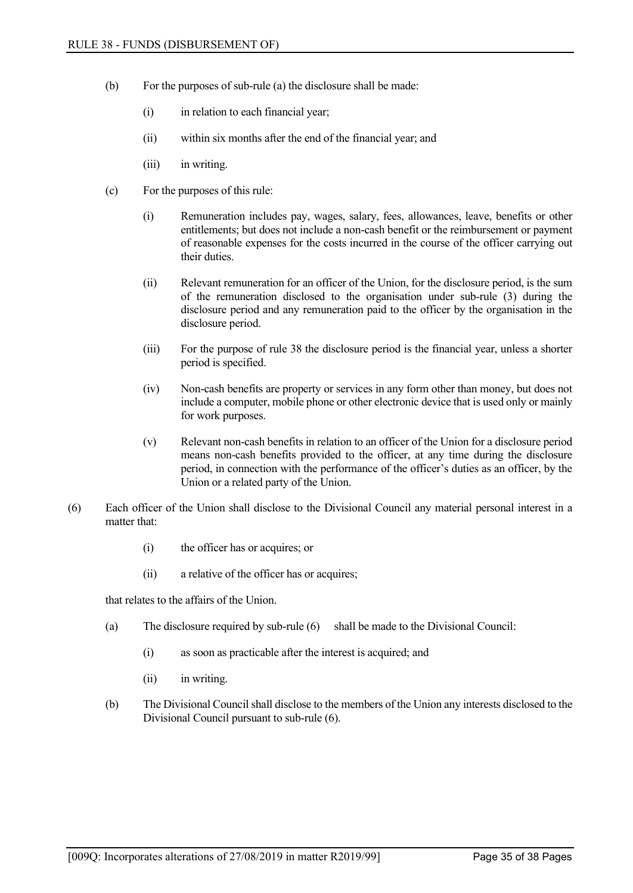- (b) For the purposes of sub-rule (a) the disclosure shall be made:
	- (i) in relation to each financial year;
	- (ii) within six months after the end of the financial year; and
	- (iii) in writing.
- (c) For the purposes of this rule:
	- (i) Remuneration includes pay, wages, salary, fees, allowances, leave, benefits or other entitlements; but does not include a non-cash benefit or the reimbursement or payment of reasonable expenses for the costs incurred in the course of the officer carrying out their duties.
	- (ii) Relevant remuneration for an officer of the Union, for the disclosure period, is the sum of the remuneration disclosed to the organisation under sub-rule (3) during the disclosure period and any remuneration paid to the officer by the organisation in the disclosure period.
	- (iii) For the purpose of rule 38 the disclosure period is the financial year, unless a shorter period is specified.
	- (iv) Non-cash benefits are property or services in any form other than money, but does not include a computer, mobile phone or other electronic device that is used only or mainly for work purposes.
	- (v) Relevant non-cash benefits in relation to an officer of the Union for a disclosure period means non-cash benefits provided to the officer, at any time during the disclosure period, in connection with the performance of the officer's duties as an officer, by the Union or a related party of the Union.
- (6) Each officer of the Union shall disclose to the Divisional Council any material personal interest in a matter that:
	- (i) the officer has or acquires; or
	- (ii) a relative of the officer has or acquires;

that relates to the affairs of the Union.

- (a) The disclosure required by sub-rule (6) shall be made to the Divisional Council:
	- (i) as soon as practicable after the interest is acquired; and
	- (ii) in writing.
- (b) The Divisional Council shall disclose to the members of the Union any interests disclosed to the Divisional Council pursuant to sub-rule (6).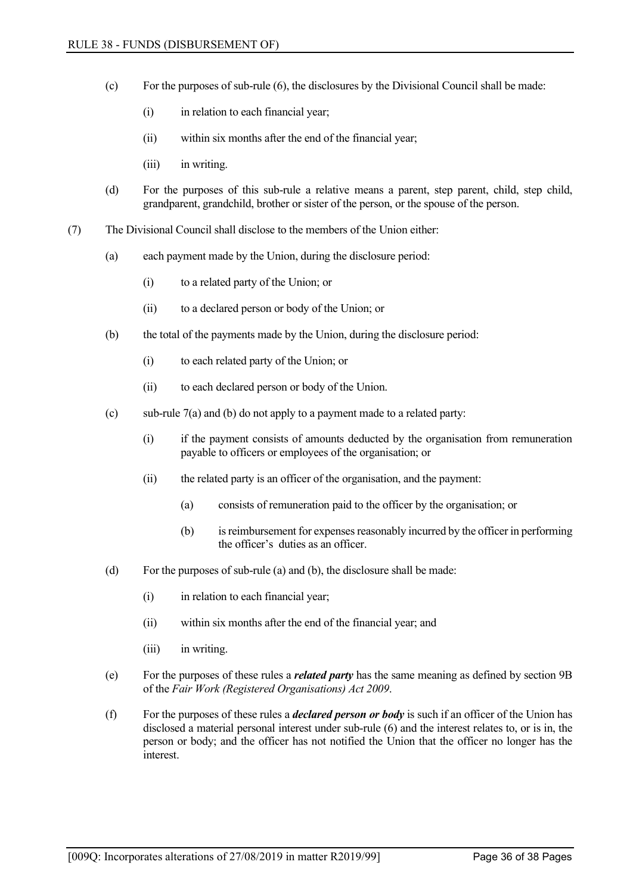- (c) For the purposes of sub-rule (6), the disclosures by the Divisional Council shall be made:
	- (i) in relation to each financial year;
	- (ii) within six months after the end of the financial year;
	- (iii) in writing.
- (d) For the purposes of this sub-rule a relative means a parent, step parent, child, step child, grandparent, grandchild, brother or sister of the person, or the spouse of the person.
- (7) The Divisional Council shall disclose to the members of the Union either:
	- (a) each payment made by the Union, during the disclosure period:
		- (i) to a related party of the Union; or
		- (ii) to a declared person or body of the Union; or
	- (b) the total of the payments made by the Union, during the disclosure period:
		- (i) to each related party of the Union; or
		- (ii) to each declared person or body of the Union.
	- (c) sub-rule 7(a) and (b) do not apply to a payment made to a related party:
		- (i) if the payment consists of amounts deducted by the organisation from remuneration payable to officers or employees of the organisation; or
		- (ii) the related party is an officer of the organisation, and the payment:
			- (a) consists of remuneration paid to the officer by the organisation; or
			- (b) is reimbursement for expenses reasonably incurred by the officer in performing the officer's duties as an officer.
	- (d) For the purposes of sub-rule (a) and (b), the disclosure shall be made:
		- (i) in relation to each financial year;
		- (ii) within six months after the end of the financial year; and
		- (iii) in writing.
	- (e) For the purposes of these rules a *related party* has the same meaning as defined by section 9B of the *Fair Work (Registered Organisations) Act 2009*.
	- (f) For the purposes of these rules a *declared person or body* is such if an officer of the Union has disclosed a material personal interest under sub-rule (6) and the interest relates to, or is in, the person or body; and the officer has not notified the Union that the officer no longer has the interest.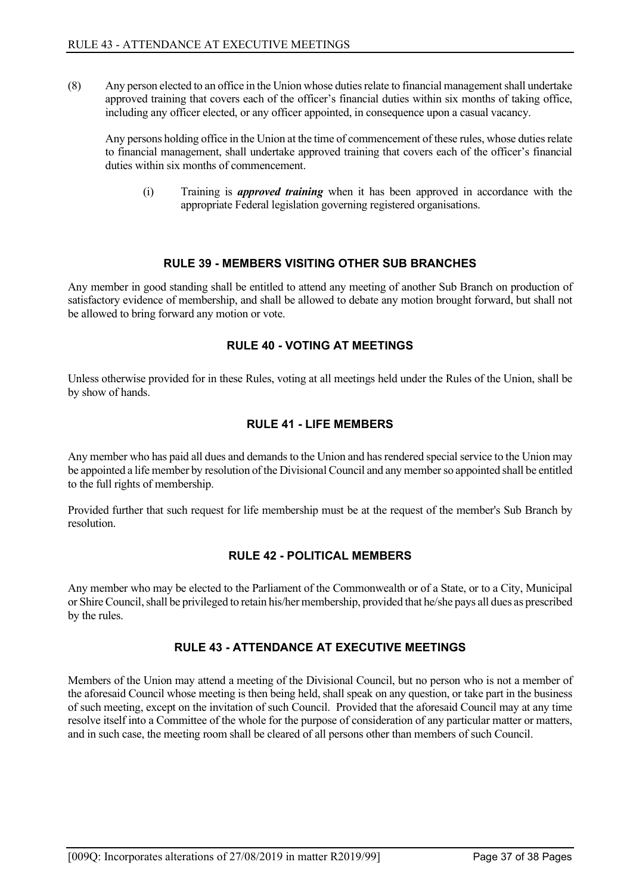(8) Any person elected to an office in the Union whose duties relate to financial management shall undertake approved training that covers each of the officer's financial duties within six months of taking office, including any officer elected, or any officer appointed, in consequence upon a casual vacancy.

Any persons holding office in the Union at the time of commencement of these rules, whose duties relate to financial management, shall undertake approved training that covers each of the officer's financial duties within six months of commencement.

(i) Training is *approved training* when it has been approved in accordance with the appropriate Federal legislation governing registered organisations.

## **RULE 39 - MEMBERS VISITING OTHER SUB BRANCHES**

<span id="page-38-1"></span><span id="page-38-0"></span>Any member in good standing shall be entitled to attend any meeting of another Sub Branch on production of satisfactory evidence of membership, and shall be allowed to debate any motion brought forward, but shall not be allowed to bring forward any motion or vote.

## **RULE 40 - VOTING AT MEETINGS**

<span id="page-38-2"></span>Unless otherwise provided for in these Rules, voting at all meetings held under the Rules of the Union, shall be by show of hands.

## **RULE 41 - LIFE MEMBERS**

Any member who has paid all dues and demands to the Union and has rendered special service to the Union may be appointed a life member by resolution of the Divisional Council and any member so appointed shall be entitled to the full rights of membership.

<span id="page-38-3"></span>Provided further that such request for life membership must be at the request of the member's Sub Branch by resolution.

## **RULE 42 - POLITICAL MEMBERS**

<span id="page-38-4"></span>Any member who may be elected to the Parliament of the Commonwealth or of a State, or to a City, Municipal or Shire Council, shall be privileged to retain his/her membership, provided that he/she pays all dues as prescribed by the rules.

## **RULE 43 - ATTENDANCE AT EXECUTIVE MEETINGS**

Members of the Union may attend a meeting of the Divisional Council, but no person who is not a member of the aforesaid Council whose meeting is then being held, shall speak on any question, or take part in the business of such meeting, except on the invitation of such Council. Provided that the aforesaid Council may at any time resolve itself into a Committee of the whole for the purpose of consideration of any particular matter or matters, and in such case, the meeting room shall be cleared of all persons other than members of such Council.